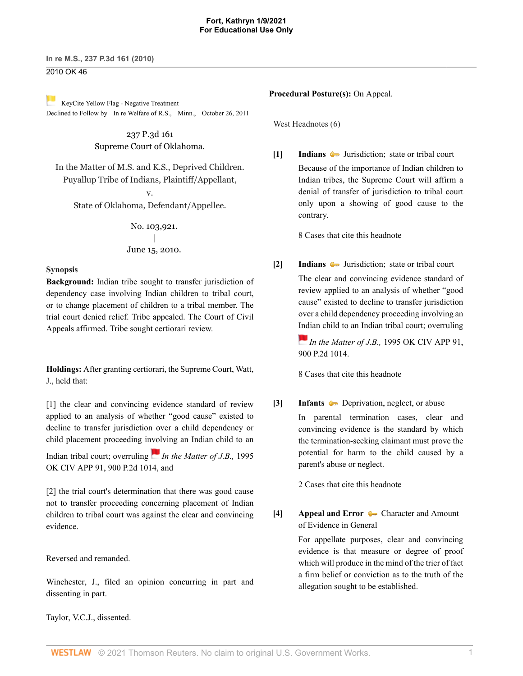# 2010 OK 46

[K](https://1.next.westlaw.com/Link/RelatedInformation/Flag?documentGuid=I8b1fd10effb011e0bc27967e57e99458&transitionType=Document&originationContext=docHeaderFlag&Rank=0&contextData=(sc.DocLink) )eyCite Yellow Flag - Negative Treatment Declined to Follow by [In re Welfare of R.S.,](https://www.westlaw.com/Document/I8b1fd10effb011e0bc27967e57e99458/View/FullText.html?navigationPath=RelatedInfo%2Fv4%2Fkeycite%2Fnav%2F%3Fguid%3DI8b1fd10effb011e0bc27967e57e99458%26ss%3D2022308618%26ds%3D2026398964%26origDocGuid%3DIb90709ba78c911df9513e5d1d488c847&listSource=RelatedInfo&list=NegativeCitingReferences&rank=0&originationContext=docHeader&transitionType=NegativeTreatment&contextData=%28sc.DocLink%29&VR=3.0&RS=cblt1.0 ) Minn., October 26, 2011

> 237 P.3d 161 Supreme Court of Oklahoma.

In the Matter of M.S. and K.S., Deprived Children. Puyallup Tribe of Indians, Plaintiff/Appellant,

v. State of Oklahoma, Defendant/Appellee.

> No. 103,921. | June 15, 2010.

### **Synopsis**

**Background:** Indian tribe sought to transfer jurisdiction of dependency case involving Indian children to tribal court, or to change placement of children to a tribal member. The trial court denied relief. Tribe appealed. The Court of Civil Appeals affirmed. Tribe sought certiorari review.

**Holdings:** After granting certiorari, the Supreme Court, [Watt](http://www.westlaw.com/Link/Document/FullText?findType=h&pubNum=176284&cite=0176177301&originatingDoc=Ib90709ba78c911df9513e5d1d488c847&refType=RQ&originationContext=document&vr=3.0&rs=cblt1.0&transitionType=DocumentItem&contextData=(sc.DocLink)), J., held that:

[\[1\]](#page-0-0) the clear and convincing evidence standard of review applied to an analysis of whether "good cause" existed to decline to transfer jurisdiction over a child dependency or child placement proceeding i[nvol](https://1.next.westlaw.com/Link/RelatedInformation/Flag?documentGuid=Ie53829b4f58c11d983e7e9deff98dc6f&transitionType=InlineKeyCiteFlags&originationContext=docHeaderFlag&Rank=0&contextData=(sc.DocLink) )ving an Indian child to an

Indian tribal court; overruling *In the Matter of J.B.*, 1995 [OK CIV APP 91, 900 P.2d 1014,](http://www.westlaw.com/Link/Document/FullText?findType=Y&serNum=1995160588&pubNum=661&originatingDoc=Ib90709ba78c911df9513e5d1d488c847&refType=RP&originationContext=document&vr=3.0&rs=cblt1.0&transitionType=DocumentItem&contextData=(sc.DocLink)) and

[\[2\]](#page-1-0) the trial court's determination that there was good cause not to transfer proceeding concerning placement of Indian children to tribal court was against the clear and convincing evidence.

Reversed and remanded.

[Winchester](http://www.westlaw.com/Link/Document/FullText?findType=h&pubNum=176284&cite=0126784101&originatingDoc=Ib90709ba78c911df9513e5d1d488c847&refType=RQ&originationContext=document&vr=3.0&rs=cblt1.0&transitionType=DocumentItem&contextData=(sc.DocLink)), J., filed an opinion concurring in part and dissenting in part.

[Taylor,](http://www.westlaw.com/Link/Document/FullText?findType=h&pubNum=176284&cite=0169500901&originatingDoc=Ib90709ba78c911df9513e5d1d488c847&refType=RQ&originationContext=document&vr=3.0&rs=cblt1.0&transitionType=DocumentItem&contextData=(sc.DocLink)) V.C.J., dissented.

#### **Procedural Posture(s):** On Appeal.

West Headnotes (6)

<span id="page-0-1"></span>**[\[1\]](#page-4-0) [Indians](http://www.westlaw.com/Browse/Home/KeyNumber/209/View.html?docGuid=Ib90709ba78c911df9513e5d1d488c847&originationContext=document&vr=3.0&rs=cblt1.0&transitionType=DocumentItem&contextData=(sc.DocLink))**  $\bullet$  **Jurisdiction**; **state or tribal court** Because of the importance of Indian children to Indian tribes, the Supreme Court will affirm a denial of transfer of jurisdiction to tribal court only upon a showing of good cause to the contrary.

[8 Cases that cite this headnote](http://www.westlaw.com/Link/RelatedInformation/DocHeadnoteLink?docGuid=Ib90709ba78c911df9513e5d1d488c847&headnoteId=202230861800120180202230458&originationContext=document&vr=3.0&rs=cblt1.0&transitionType=CitingReferences&contextData=(sc.DocLink))

<span id="page-0-0"></span>**[\[2\]](#page-4-1) [Indians](http://www.westlaw.com/Browse/Home/KeyNumber/209/View.html?docGuid=Ib90709ba78c911df9513e5d1d488c847&originationContext=document&vr=3.0&rs=cblt1.0&transitionType=DocumentItem&contextData=(sc.DocLink))**  $\bullet$  Jurisdiction; state or tribal court The clear and convincing evidence standard of review applied to an analysis of whether "good cause" existed to decline to transfer jurisdiction over a child dependency proceeding involving an [Ind](https://1.next.westlaw.com/Link/RelatedInformation/Flag?documentGuid=Ie53829b4f58c11d983e7e9deff98dc6f&transitionType=InlineKeyCiteFlags&originationContext=docHeaderFlag&Rank=0&contextData=(sc.DocLink) )ian child to an Indian tribal court; overruling

> *In the Matter of J.B.,* [1995 OK CIV APP 91,](http://www.westlaw.com/Link/Document/FullText?findType=Y&serNum=1995160588&pubNum=661&originatingDoc=Ib90709ba78c911df9513e5d1d488c847&refType=RP&originationContext=document&vr=3.0&rs=cblt1.0&transitionType=DocumentItem&contextData=(sc.DocLink)) [900 P.2d 1014](http://www.westlaw.com/Link/Document/FullText?findType=Y&serNum=1995160588&pubNum=661&originatingDoc=Ib90709ba78c911df9513e5d1d488c847&refType=RP&originationContext=document&vr=3.0&rs=cblt1.0&transitionType=DocumentItem&contextData=(sc.DocLink)).

[8 Cases that cite this headnote](http://www.westlaw.com/Link/RelatedInformation/DocHeadnoteLink?docGuid=Ib90709ba78c911df9513e5d1d488c847&headnoteId=202230861800220180202230458&originationContext=document&vr=3.0&rs=cblt1.0&transitionType=CitingReferences&contextData=(sc.DocLink))

<span id="page-0-2"></span>**[\[3\]](#page-4-2) [Infants](http://www.westlaw.com/Browse/Home/KeyNumber/211/View.html?docGuid=Ib90709ba78c911df9513e5d1d488c847&originationContext=document&vr=3.0&rs=cblt1.0&transitionType=DocumentItem&contextData=(sc.DocLink)) Deprivation**, neglect, or abuse In parental termination cases, clear and convincing evidence is the standard by which the termination-seeking claimant must prove the potential for harm to the child caused by a parent's abuse or neglect.

[2 Cases that cite this headnote](http://www.westlaw.com/Link/RelatedInformation/DocHeadnoteLink?docGuid=Ib90709ba78c911df9513e5d1d488c847&headnoteId=202230861800320180202230458&originationContext=document&vr=3.0&rs=cblt1.0&transitionType=CitingReferences&contextData=(sc.DocLink))

<span id="page-0-3"></span>**[\[4\]](#page-4-3) [Appeal and Error](http://www.westlaw.com/Browse/Home/KeyNumber/30/View.html?docGuid=Ib90709ba78c911df9513e5d1d488c847&originationContext=document&vr=3.0&rs=cblt1.0&transitionType=DocumentItem&contextData=(sc.DocLink))** [Character and Amount](http://www.westlaw.com/Browse/Home/KeyNumber/30k3444/View.html?docGuid=Ib90709ba78c911df9513e5d1d488c847&originationContext=document&vr=3.0&rs=cblt1.0&transitionType=DocumentItem&contextData=(sc.DocLink)) [of Evidence in General](http://www.westlaw.com/Browse/Home/KeyNumber/30k3444/View.html?docGuid=Ib90709ba78c911df9513e5d1d488c847&originationContext=document&vr=3.0&rs=cblt1.0&transitionType=DocumentItem&contextData=(sc.DocLink))

> For appellate purposes, clear and convincing evidence is that measure or degree of proof which will produce in the mind of the trier of fact a firm belief or conviction as to the truth of the allegation sought to be established.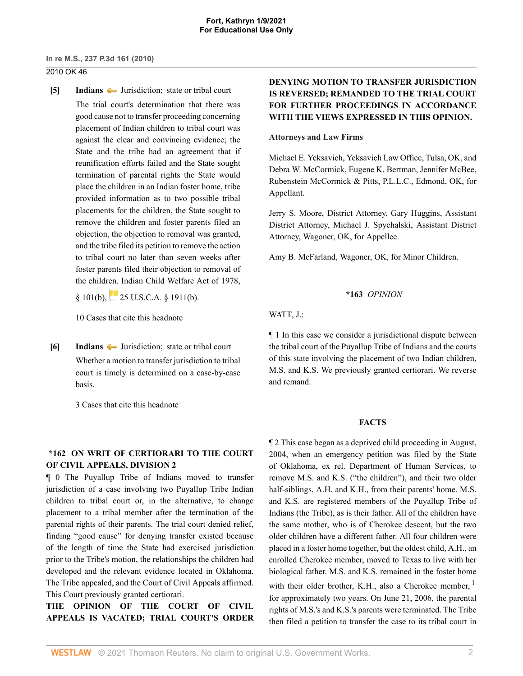### 2010 OK 46

<span id="page-1-0"></span>**[\[5\]](#page-5-0) [Indians](http://www.westlaw.com/Browse/Home/KeyNumber/209/View.html?docGuid=Ib90709ba78c911df9513e5d1d488c847&originationContext=document&vr=3.0&rs=cblt1.0&transitionType=DocumentItem&contextData=(sc.DocLink))**  $\blacktriangleright$  Jurisdiction; state or tribal court The trial court's determination that there was good cause not to transfer proceeding concerning placement of Indian children to tribal court was against the clear and convincing evidence; the State and the tribe had an agreement that if reunification efforts failed and the State sought termination of parental rights the State would place the children in an Indian foster home, tribe provided information as to two possible tribal placements for the children, the State sought to remove the children and foster parents filed an objection, the objection to removal was granted, and the tribe filed its petition to remove the action to tribal court no later than seven weeks after foster parents filed their objection to removal of the children. Indian Child Welfare Act of 1978,

§ 101(b), [25 U.S.C.A. § 1911\(b\).](http://www.westlaw.com/Link/Document/FullText?findType=L&pubNum=1000546&cite=25USCAS1911&originatingDoc=Ib90709ba78c911df9513e5d1d488c847&refType=RB&originationContext=document&vr=3.0&rs=cblt1.0&transitionType=DocumentItem&contextData=(sc.DocLink)#co_pp_a83b000018c76)

[10 Cases that cite this headnote](http://www.westlaw.com/Link/RelatedInformation/DocHeadnoteLink?docGuid=Ib90709ba78c911df9513e5d1d488c847&headnoteId=202230861800520180202230458&originationContext=document&vr=3.0&rs=cblt1.0&transitionType=CitingReferences&contextData=(sc.DocLink))

<span id="page-1-1"></span>**[\[6\]](#page-7-0) [Indians](http://www.westlaw.com/Browse/Home/KeyNumber/209/View.html?docGuid=Ib90709ba78c911df9513e5d1d488c847&originationContext=document&vr=3.0&rs=cblt1.0&transitionType=DocumentItem&contextData=(sc.DocLink))**  $\bullet$  **Jurisdiction**; **state or tribal court** Whether a motion to transfer jurisdiction to tribal court is timely is determined on a case-by-case basis.

[3 Cases that cite this headnote](http://www.westlaw.com/Link/RelatedInformation/DocHeadnoteLink?docGuid=Ib90709ba78c911df9513e5d1d488c847&headnoteId=202230861800620180202230458&originationContext=document&vr=3.0&rs=cblt1.0&transitionType=CitingReferences&contextData=(sc.DocLink))

# **\*162 ON WRIT OF CERTIORARI TO THE COURT OF CIVIL APPEALS, DIVISION 2**

¶ 0 The Puyallup Tribe of Indians moved to transfer jurisdiction of a case involving two Puyallup Tribe Indian children to tribal court or, in the alternative, to change placement to a tribal member after the termination of the parental rights of their parents. The trial court denied relief, finding "good cause" for denying transfer existed because of the length of time the State had exercised jurisdiction prior to the Tribe's motion, the relationships the children had developed and the relevant evidence located in Oklahoma. The Tribe appealed, and the Court of Civil Appeals affirmed. This Court previously granted certiorari.

**THE OPINION OF THE COURT OF CIVIL APPEALS IS VACATED; TRIAL COURT'S ORDER**

# **DENYING MOTION TO TRANSFER JURISDICTION IS REVERSED; REMANDED TO THE TRIAL COURT FOR FURTHER PROCEEDINGS IN ACCORDANCE WITH THE VIEWS EXPRESSED IN THIS OPINION.**

### **Attorneys and Law Firms**

[Michael E. Yeksavich](http://www.westlaw.com/Link/Document/FullText?findType=h&pubNum=176284&cite=0296164801&originatingDoc=Ib90709ba78c911df9513e5d1d488c847&refType=RQ&originationContext=document&vr=3.0&rs=cblt1.0&transitionType=DocumentItem&contextData=(sc.DocLink)), Yeksavich Law Office, Tulsa, OK, and [Debra W. McCormick](http://www.westlaw.com/Link/Document/FullText?findType=h&pubNum=176284&cite=0329685401&originatingDoc=Ib90709ba78c911df9513e5d1d488c847&refType=RQ&originationContext=document&vr=3.0&rs=cblt1.0&transitionType=DocumentItem&contextData=(sc.DocLink)), [Eugene K. Bertman](http://www.westlaw.com/Link/Document/FullText?findType=h&pubNum=176284&cite=0325644101&originatingDoc=Ib90709ba78c911df9513e5d1d488c847&refType=RQ&originationContext=document&vr=3.0&rs=cblt1.0&transitionType=DocumentItem&contextData=(sc.DocLink)), [Jennifer McBee,](http://www.westlaw.com/Link/Document/FullText?findType=h&pubNum=176284&cite=0325643301&originatingDoc=Ib90709ba78c911df9513e5d1d488c847&refType=RQ&originationContext=document&vr=3.0&rs=cblt1.0&transitionType=DocumentItem&contextData=(sc.DocLink)) Rubenstein McCormick & Pitts, P.L.L.C., Edmond, OK, for Appellant.

[Jerry S. Moore,](http://www.westlaw.com/Link/Document/FullText?findType=h&pubNum=176284&cite=0258086201&originatingDoc=Ib90709ba78c911df9513e5d1d488c847&refType=RQ&originationContext=document&vr=3.0&rs=cblt1.0&transitionType=DocumentItem&contextData=(sc.DocLink)) District Attorney, [Gary Huggins](http://www.westlaw.com/Link/Document/FullText?findType=h&pubNum=176284&cite=0221227901&originatingDoc=Ib90709ba78c911df9513e5d1d488c847&refType=RQ&originationContext=document&vr=3.0&rs=cblt1.0&transitionType=DocumentItem&contextData=(sc.DocLink)), Assistant District Attorney, [Michael J. Spychalski](http://www.westlaw.com/Link/Document/FullText?findType=h&pubNum=176284&cite=0463014201&originatingDoc=Ib90709ba78c911df9513e5d1d488c847&refType=RQ&originationContext=document&vr=3.0&rs=cblt1.0&transitionType=DocumentItem&contextData=(sc.DocLink)), Assistant District Attorney, Wagoner, OK, for Appellee.

[Amy B. McFarland,](http://www.westlaw.com/Link/Document/FullText?findType=h&pubNum=176284&cite=0299623701&originatingDoc=Ib90709ba78c911df9513e5d1d488c847&refType=RQ&originationContext=document&vr=3.0&rs=cblt1.0&transitionType=DocumentItem&contextData=(sc.DocLink)) Wagoner, OK, for Minor Children.

## **\*163** *OPINION*

[WATT,](http://www.westlaw.com/Link/Document/FullText?findType=h&pubNum=176284&cite=0176177301&originatingDoc=Ib90709ba78c911df9513e5d1d488c847&refType=RQ&originationContext=document&vr=3.0&rs=cblt1.0&transitionType=DocumentItem&contextData=(sc.DocLink)) J.:

¶ 1 In this case we consider a jurisdictional dispute between the tribal court of the Puyallup Tribe of Indians and the courts of this state involving the placement of two Indian children, M.S. and K.S. We previously granted certiorari. We reverse and remand.

## <span id="page-1-2"></span>**FACTS**

¶ 2 This case began as a deprived child proceeding in August, 2004, when an emergency petition was filed by the State of Oklahoma, ex rel. Department of Human Services, to remove M.S. and K.S. ("the children"), and their two older half-siblings, A.H. and K.H., from their parents' home. M.S. and K.S. are registered members of the Puyallup Tribe of Indians (the Tribe), as is their father. All of the children have the same mother, who is of Cherokee descent, but the two older children have a different father. All four children were placed in a foster home together, but the oldest child, A.H., an enrolled Cherokee member, moved to Texas to live with her biological father. M.S. and K.S. remained in the foster home with their older brother, K.H., also a Cherokee member,  $<sup>1</sup>$  $<sup>1</sup>$  $<sup>1</sup>$ </sup> for approximately two years. On June 21, 2006, the parental rights of M.S.'s and K.S.'s parents were terminated. The Tribe then filed a petition to transfer the case to its tribal court in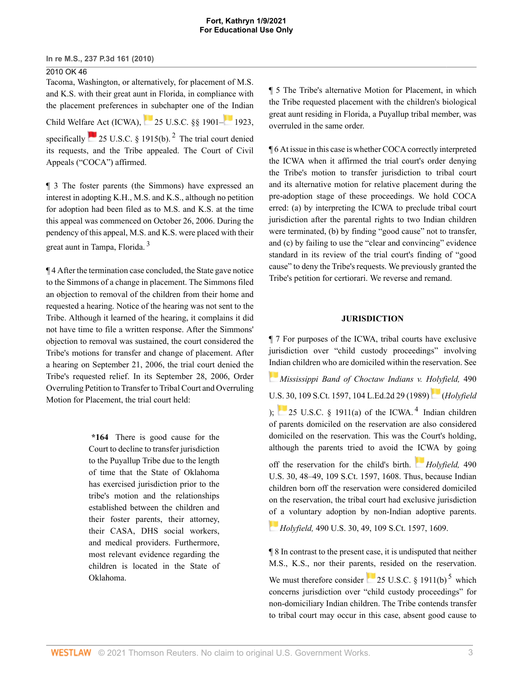2010 OK 46 Tacoma, Washington, or alternatively, for placement of M.S. and K.S. with their great aunt in Florida, in compliance with the placement preferences in subchapter one of t[he I](https://1.next.westlaw.com/Link/RelatedInformation/Flag?documentGuid=NAFA8E4F0A53911D88BD68431AAB79FF6&transitionType=InlineKeyCiteFlags&originationContext=docHeaderFlag&Rank=0&contextData=(sc.DocLink) )ndian Child Welfare Act (ICWA), [25 U.S.C. §§ 1901–](http://www.westlaw.com/Link/Document/FullText?findType=L&pubNum=1000546&cite=25USCAS1901&originatingDoc=Ib90709ba78c911df9513e5d1d488c847&refType=LQ&originationContext=document&vr=3.0&rs=cblt1.0&transitionType=DocumentItem&contextData=(sc.DocLink)) [1923](http://www.westlaw.com/Link/Document/FullText?findType=L&pubNum=1000546&cite=25USCAS1923&originatingDoc=Ib90709ba78c911df9513e5d1d488c847&refType=LQ&originationContext=document&vr=3.0&rs=cblt1.0&transitionType=DocumentItem&contextData=(sc.DocLink)), specifically  $\sim 25$  $\sim 25$  $\sim 25$  U.S.C. § 1915(b).<sup>2</sup> The trial court denied its requests, and the Tribe appealed. The Court of Civil Appeals ("COCA") affirmed.

¶ 3 The foster parents (the Simmons) have expressed an interest in adopting K.H., M.S. and K.S., although no petition for adoption had been filed as to M.S. and K.S. at the time this appeal was commenced on October 26, 2006. During the pendency of this appeal, M.S. and K.S. were placed with their great aunt in Tampa, Florida. [3](#page-9-2)

<span id="page-2-1"></span>¶ 4 After the termination case concluded, the State gave notice to the Simmons of a change in placement. The Simmons filed an objection to removal of the children from their home and requested a hearing. Notice of the hearing was not sent to the Tribe. Although it learned of the hearing, it complains it did not have time to file a written response. After the Simmons' objection to removal was sustained, the court considered the Tribe's motions for transfer and change of placement. After a hearing on September 21, 2006, the trial court denied the Tribe's requested relief. In its September 28, 2006, Order Overruling Petition to Transfer to Tribal Court and Overruling Motion for Placement, the trial court held:

> **\*164** There is good cause for the Court to decline to transfer jurisdiction to the Puyallup Tribe due to the length of time that the State of Oklahoma has exercised jurisdiction prior to the tribe's motion and the relationships established between the children and their foster parents, their attorney, their CASA, DHS social workers, and medical providers. Furthermore, most relevant evidence regarding the children is located in the State of Oklahoma.

¶ 5 The Tribe's alternative Motion for Placement, in which the Tribe requested placement with the children's biological great aunt residing in Florida, a Puyallup tribal member, was overruled in the same order.

<span id="page-2-0"></span>¶ 6 At issue in this case is whether COCA correctly interpreted the ICWA when it affirmed the trial court's order denying the Tribe's motion to transfer jurisdiction to tribal court and its alternative motion for relative placement during the pre-adoption stage of these proceedings. We hold COCA erred: (a) by interpreting the ICWA to preclude tribal court jurisdiction after the parental rights to two Indian children were terminated, (b) by finding "good cause" not to transfer, and (c) by failing to use the "clear and convincing" evidence standard in its review of the trial court's finding of "good cause" to deny the Tribe's requests. We previously granted the Tribe's petition for certiorari. We reverse and remand.

### <span id="page-2-2"></span>**JURISDICTION**

¶ 7 For purposes of the ICWA, tribal courts have exclusive jurisdiction over "child custody proceedings" involving [Ind](https://1.next.westlaw.com/Link/RelatedInformation/Flag?documentGuid=I31940ed49c2511d9bdd1cfdd544ca3a4&transitionType=InlineKeyCiteFlags&originationContext=docHeaderFlag&Rank=0&contextData=(sc.DocLink) )ian children who are domiciled within the reservation. See *[Mississippi Band of Choctaw Indians v. Holyfield,](http://www.westlaw.com/Link/Document/FullText?findType=Y&serNum=1989048372&pubNum=0000708&originatingDoc=Ib90709ba78c911df9513e5d1d488c847&refType=RP&originationContext=document&vr=3.0&rs=cblt1.0&transitionType=DocumentItem&contextData=(sc.DocLink))* 490 [U.S. 30, 109 S.Ct. 1597, 104 L.Ed.2d 29 \(1989\)](http://www.westlaw.com/Link/Document/FullText?findType=Y&serNum=1989048372&pubNum=0000708&originatingDoc=Ib90709ba78c911df9513e5d1d488c847&refType=RP&originationContext=document&vr=3.0&rs=cblt1.0&transitionType=DocumentItem&contextData=(sc.DocLink)) (*[Holyfield](http://www.westlaw.com/Link/Document/FullText?findType=Y&serNum=1989048372&originatingDoc=Ib90709ba78c911df9513e5d1d488c847&refType=RP&originationContext=document&vr=3.0&rs=cblt1.0&transitionType=DocumentItem&contextData=(sc.DocLink))* [\);](http://www.westlaw.com/Link/Document/FullText?findType=Y&serNum=1989048372&originatingDoc=Ib90709ba78c911df9513e5d1d488c847&refType=RP&originationContext=document&vr=3.0&rs=cblt1.0&transitionType=DocumentItem&contextData=(sc.DocLink))  $\sim$  [25 U.S.C. § 1911\(a\)](http://www.westlaw.com/Link/Document/FullText?findType=L&pubNum=1000546&cite=25USCAS1911&originatingDoc=Ib90709ba78c911df9513e5d1d488c847&refType=RB&originationContext=document&vr=3.0&rs=cblt1.0&transitionType=DocumentItem&contextData=(sc.DocLink)#co_pp_8b3b0000958a4) of the ICWA.<sup>[4](#page-9-3)</sup> Indian children of parents domiciled on the reservation are also considered domiciled on the reservation. This was the Court's holding, although the parents tried to avoid the [ICW](https://1.next.westlaw.com/Link/RelatedInformation/Flag?documentGuid=I31940ed49c2511d9bdd1cfdd544ca3a4&transitionType=InlineKeyCiteFlags&originationContext=docHeaderFlag&Rank=0&contextData=(sc.DocLink) )A by going off the reservation for the child's birth. *[Holyfield,](http://www.westlaw.com/Link/Document/FullText?findType=Y&serNum=1989048372&pubNum=708&originatingDoc=Ib90709ba78c911df9513e5d1d488c847&refType=RP&fi=co_pp_sp_708_1608&originationContext=document&vr=3.0&rs=cblt1.0&transitionType=DocumentItem&contextData=(sc.DocLink)#co_pp_sp_708_1608)* 490 [U.S. 30, 48–49, 109 S.Ct. 1597, 1608.](http://www.westlaw.com/Link/Document/FullText?findType=Y&serNum=1989048372&pubNum=708&originatingDoc=Ib90709ba78c911df9513e5d1d488c847&refType=RP&fi=co_pp_sp_708_1608&originationContext=document&vr=3.0&rs=cblt1.0&transitionType=DocumentItem&contextData=(sc.DocLink)#co_pp_sp_708_1608) Thus, because Indian children born off the reservation were considered domiciled on the reservation, the tribal court had exclusive jurisdiction [of](https://1.next.westlaw.com/Link/RelatedInformation/Flag?documentGuid=I31940ed49c2511d9bdd1cfdd544ca3a4&transitionType=InlineKeyCiteFlags&originationContext=docHeaderFlag&Rank=0&contextData=(sc.DocLink) ) a voluntary adoption by non-Indian adoptive parents.

*Holyfield,* [490 U.S. 30, 49, 109 S.Ct. 1597, 1609.](http://www.westlaw.com/Link/Document/FullText?findType=Y&serNum=1989048372&pubNum=0000708&originatingDoc=Ib90709ba78c911df9513e5d1d488c847&refType=RP&fi=co_pp_sp_708_1609&originationContext=document&vr=3.0&rs=cblt1.0&transitionType=DocumentItem&contextData=(sc.DocLink)#co_pp_sp_708_1609)

¶ 8 In contrast to the present case, it is undisputed that neither M.S., K.S., nor their parents, resided on the reservation.

<span id="page-2-3"></span>We must therefore consider  $\sim 25$  $\sim 25$  U.S.C. § 1911(b)<sup>5</sup> which concerns jurisdiction over "child custody proceedings" for non-domiciliary Indian children. The Tribe contends transfer to tribal court may occur in this case, absent good cause to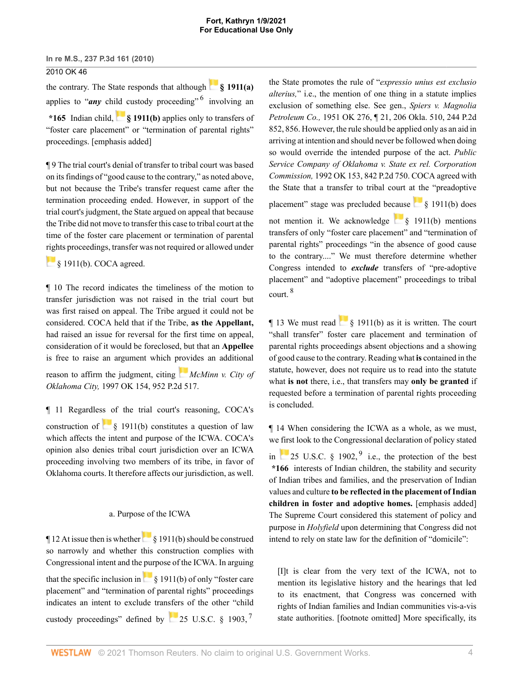#### **Fort, Kathryn 1/9/2021 For Educational Use Only**

#### **In re M.S., 237 P.3d 161 (2010)**

## 2010 OK 46

the contrary. The State responds that although **[§ 1911\(a\)](http://www.westlaw.com/Link/Document/FullText?findType=L&pubNum=1000546&cite=25USCAS1911&originatingDoc=Ib90709ba78c911df9513e5d1d488c847&refType=RB&originationContext=document&vr=3.0&rs=cblt1.0&transitionType=DocumentItem&contextData=(sc.DocLink)#co_pp_8b3b0000958a4)** applies to "*any* chi[ld c](https://1.next.westlaw.com/Link/RelatedInformation/Flag?documentGuid=NB212B900A53911D88BD68431AAB79FF6&transitionType=InlineKeyCiteFlags&originationContext=docHeaderFlag&Rank=0&contextData=(sc.DocLink) )ustody proceeding" <sup>[6](#page-10-1)</sup> involving an

**\*165** Indian child, **[§ 1911\(b\)](http://www.westlaw.com/Link/Document/FullText?findType=L&pubNum=1000546&cite=25USCAS1911&originatingDoc=Ib90709ba78c911df9513e5d1d488c847&refType=RB&originationContext=document&vr=3.0&rs=cblt1.0&transitionType=DocumentItem&contextData=(sc.DocLink)#co_pp_a83b000018c76)** applies only to transfers of "foster care placement" or "termination of parental rights" proceedings. [emphasis added]

¶ 9 The trial court's denial of transfer to tribal court was based on its findings of "good cause to the contrary," as noted above, but not because the Tribe's transfer request came after the termination proceeding ended. However, in support of the trial court's judgment, the State argued on appeal that because the Tribe did not move to transfer this case to tribal court at the time of the foster care placement or termination of parental [righ](https://1.next.westlaw.com/Link/RelatedInformation/Flag?documentGuid=NB212B900A53911D88BD68431AAB79FF6&transitionType=InlineKeyCiteFlags&originationContext=docHeaderFlag&Rank=0&contextData=(sc.DocLink) )ts proceedings, transfer was not required or allowed under

[§ 1911\(b\).](http://www.westlaw.com/Link/Document/FullText?findType=L&pubNum=1000546&cite=25USCAS1911&originatingDoc=Ib90709ba78c911df9513e5d1d488c847&refType=RB&originationContext=document&vr=3.0&rs=cblt1.0&transitionType=DocumentItem&contextData=(sc.DocLink)#co_pp_a83b000018c76) COCA agreed.

¶ 10 The record indicates the timeliness of the motion to transfer jurisdiction was not raised in the trial court but was first raised on appeal. The Tribe argued it could not be considered. COCA held that if the Tribe, **as the Appellant,** had raised an issue for reversal for the first time on appeal, consideration of it would be foreclosed, but that an **Appellee** is free to raise an argument which [prov](https://1.next.westlaw.com/Link/RelatedInformation/Flag?documentGuid=Ie85649bff57811d9bf60c1d57ebc853e&transitionType=InlineKeyCiteFlags&originationContext=docHeaderFlag&Rank=0&contextData=(sc.DocLink) )ides an additional

reason to affirm the judgment, citing *[McMinn v. City of](http://www.westlaw.com/Link/Document/FullText?findType=Y&serNum=1997252466&pubNum=0000661&originatingDoc=Ib90709ba78c911df9513e5d1d488c847&refType=RP&originationContext=document&vr=3.0&rs=cblt1.0&transitionType=DocumentItem&contextData=(sc.DocLink)) Oklahoma City,* [1997 OK 154, 952 P.2d 517.](http://www.westlaw.com/Link/Document/FullText?findType=Y&serNum=1997252466&pubNum=0000661&originatingDoc=Ib90709ba78c911df9513e5d1d488c847&refType=RP&originationContext=document&vr=3.0&rs=cblt1.0&transitionType=DocumentItem&contextData=(sc.DocLink))

¶ 11 Regardless of the trial court's reasoning, COCA's construction of  $\frac{1}{8}$  1911(b) constitutes a question of law which affects the intent and purpose of the ICWA. COCA's opinion also denies tribal court jurisdiction over an ICWA proceeding involving two members of its tribe, in favor of Oklahoma courts. It therefore affects our jurisdiction, as well.

#### a. Purpose of the ICWA

 $\P$ 12 At issue then is whether  $\S$  1911(b) should be construed so narrowly and whether this construction complies with Congressional intent and the purpose of the ICWA. In arguing thatthe specific inclusion in  $\frac{1}{8}$  1911(b) of only "foster care placement" and "termination of parental rights" proceedings indicates an intent to exclude transfers of the other "child custody proceedings" defined by 25 U.S.C.  $\S$  1903,  $^7$  $^7$ 

<span id="page-3-0"></span>the State promotes the rule of "*expressio unius est exclusio alterius,*" i.e., the mention of one thing in a statute implies exclusion of something else. See gen., *[Spiers v. Magnolia](http://www.westlaw.com/Link/Document/FullText?findType=Y&serNum=1952113997&pubNum=661&originatingDoc=Ib90709ba78c911df9513e5d1d488c847&refType=RP&fi=co_pp_sp_661_856&originationContext=document&vr=3.0&rs=cblt1.0&transitionType=DocumentItem&contextData=(sc.DocLink)#co_pp_sp_661_856) Petroleum Co.,* [1951 OK 276, ¶ 21, 206 Okla. 510, 244 P.2d](http://www.westlaw.com/Link/Document/FullText?findType=Y&serNum=1952113997&pubNum=661&originatingDoc=Ib90709ba78c911df9513e5d1d488c847&refType=RP&fi=co_pp_sp_661_856&originationContext=document&vr=3.0&rs=cblt1.0&transitionType=DocumentItem&contextData=(sc.DocLink)#co_pp_sp_661_856) [852, 856.](http://www.westlaw.com/Link/Document/FullText?findType=Y&serNum=1952113997&pubNum=661&originatingDoc=Ib90709ba78c911df9513e5d1d488c847&refType=RP&fi=co_pp_sp_661_856&originationContext=document&vr=3.0&rs=cblt1.0&transitionType=DocumentItem&contextData=(sc.DocLink)#co_pp_sp_661_856) However, the rule should be applied only as an aid in arriving at intention and should never be followed when doing so would override the intended purpose of the act. *[Public](http://www.westlaw.com/Link/Document/FullText?findType=Y&serNum=1992202622&pubNum=661&originatingDoc=Ib90709ba78c911df9513e5d1d488c847&refType=RP&originationContext=document&vr=3.0&rs=cblt1.0&transitionType=DocumentItem&contextData=(sc.DocLink)) [Service Company of Oklahoma v. State ex rel. Corporation](http://www.westlaw.com/Link/Document/FullText?findType=Y&serNum=1992202622&pubNum=661&originatingDoc=Ib90709ba78c911df9513e5d1d488c847&refType=RP&originationContext=document&vr=3.0&rs=cblt1.0&transitionType=DocumentItem&contextData=(sc.DocLink)) Commission,* [1992 OK 153, 842 P.2d 750.](http://www.westlaw.com/Link/Document/FullText?findType=Y&serNum=1992202622&pubNum=661&originatingDoc=Ib90709ba78c911df9513e5d1d488c847&refType=RP&originationContext=document&vr=3.0&rs=cblt1.0&transitionType=DocumentItem&contextData=(sc.DocLink)) COCA agreed with the State that a transfer to tribal court at the "preadoptive

placement" stage was precluded because  $\frac{1}{8}$  1911(b) does

not mention it. We acknowledge  $\frac{1}{2}$  \$ 1911(b) mentions transfers of only "foster care placement" and "termination of parental rights" proceedings "in the absence of good cause to the contrary...." We must therefore determine whether Congress intended to *exclude* transfers of "pre-adoptive placement" and "adoptive placement" proceedings to tribal court. [8](#page-10-3)

<span id="page-3-2"></span>¶ 13 We must read [§ 1911\(b\)](http://www.westlaw.com/Link/Document/FullText?findType=L&pubNum=1000546&cite=25USCAS1911&originatingDoc=Ib90709ba78c911df9513e5d1d488c847&refType=RB&originationContext=document&vr=3.0&rs=cblt1.0&transitionType=DocumentItem&contextData=(sc.DocLink)#co_pp_a83b000018c76) as it is written. The court "shall transfer" foster care placement and termination of parental rights proceedings absent objections and a showing of good cause to the contrary. Reading what **is** contained in the statute, however, does not require us to read into the statute what **is not** there, i.e., that transfers may **only be granted** if requested before a termination of parental rights proceeding is concluded.

<span id="page-3-3"></span>¶ 14 When considering the ICWA as a whole, as we must, we first look to the Congressional declaration of policy stated in  $\sim$  [25 U.S.C. § 1902](http://www.westlaw.com/Link/Document/FullText?findType=L&pubNum=1000546&cite=25USCAS1902&originatingDoc=Ib90709ba78c911df9513e5d1d488c847&refType=LQ&originationContext=document&vr=3.0&rs=cblt1.0&transitionType=DocumentItem&contextData=(sc.DocLink)),  $\frac{9}{9}$  $\frac{9}{9}$  $\frac{9}{9}$  i.e., the protection of the best **\*166** interests of Indian children, the stability and security of Indian tribes and families, and the preservation of Indian values and culture **to be reflected in the placement of Indian children in foster and adoptive homes.** [emphasis added] The Supreme Court considered this statement of policy and purpose in *Holyfield* upon determining that Congress did not intend to rely on state law for the definition of "domicile":

<span id="page-3-1"></span>[I]t is clear from the very text of the ICWA, not to mention its legislative history and the hearings that led to its enactment, that Congress was concerned with rights of Indian families and Indian communities vis-a-vis state authorities. [footnote omitted] More specifically, its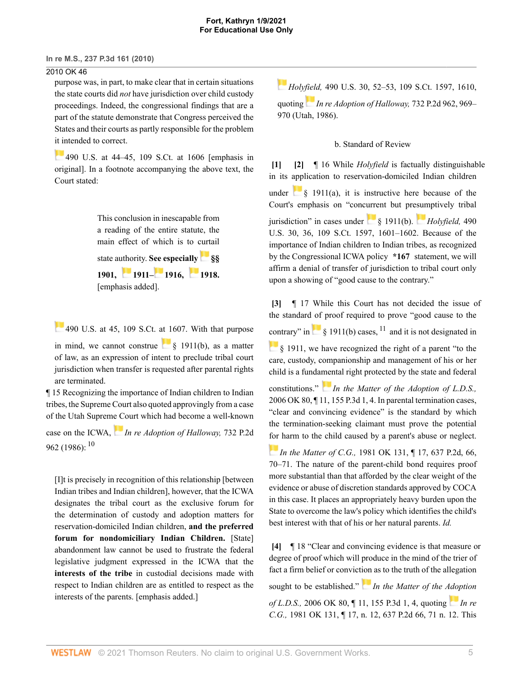### 2010 OK 46

purpose was, in part, to make clear that in certain situations the state courts did *not* have jurisdiction over child custody proceedings. Indeed, the congressional findings that are a part of the statute demonstrate that Congress perceived the States and their courts as partly responsible for the problem [it in](https://1.next.westlaw.com/Link/RelatedInformation/Flag?documentGuid=I31940ed49c2511d9bdd1cfdd544ca3a4&transitionType=InlineKeyCiteFlags&originationContext=docHeaderFlag&Rank=0&contextData=(sc.DocLink) )tended to correct.

[490 U.S. at 44–45, 109 S.Ct. at 1606](http://www.westlaw.com/Link/Document/FullText?findType=Y&serNum=1989048372&pubNum=0000708&originatingDoc=Ib90709ba78c911df9513e5d1d488c847&refType=RP&fi=co_pp_sp_708_1606&originationContext=document&vr=3.0&rs=cblt1.0&transitionType=DocumentItem&contextData=(sc.DocLink)#co_pp_sp_708_1606) [emphasis in original]. In a footnote accompanying the above text, the Court stated:

> This conclusion in inescapable from a reading of the entire statute, the main effect of which is to curtail state authority. **[See e](https://1.next.westlaw.com/Link/RelatedInformation/Flag?documentGuid=NB0851420A53911D88BD68431AAB79FF6&transitionType=InlineKeyCiteFlags&originationContext=docHeaderFlag&Rank=0&contextData=(sc.DocLink) )specially[§§](http://www.westlaw.com/Link/Document/FullText?findType=L&pubNum=1000546&cite=25USCAS1901&originatingDoc=Ib90709ba78c911df9513e5d1d488c847&refType=LQ&originationContext=document&vr=3.0&rs=cblt1.0&transitionType=DocumentItem&contextData=(sc.DocLink)) [1901](http://www.westlaw.com/Link/Document/FullText?findType=L&pubNum=1000546&cite=25USCAS1901&originatingDoc=Ib90709ba78c911df9513e5d1d488c847&refType=LQ&originationContext=document&vr=3.0&rs=cblt1.0&transitionType=DocumentItem&contextData=(sc.DocLink)), [1911](http://www.westlaw.com/Link/Document/FullText?findType=L&pubNum=1000546&cite=25USCAS1911&originatingDoc=Ib90709ba78c911df9513e5d1d488c847&refType=LQ&originationContext=document&vr=3.0&rs=cblt1.0&transitionType=DocumentItem&contextData=(sc.DocLink))– [1916,](http://www.westlaw.com/Link/Document/FullText?findType=L&pubNum=1000546&cite=25USCAS1916&originatingDoc=Ib90709ba78c911df9513e5d1d488c847&refType=LQ&originationContext=document&vr=3.0&rs=cblt1.0&transitionType=DocumentItem&contextData=(sc.DocLink)) [1918](http://www.westlaw.com/Link/Document/FullText?findType=L&pubNum=1000546&cite=25USCAS1918&originatingDoc=Ib90709ba78c911df9513e5d1d488c847&refType=LQ&originationContext=document&vr=3.0&rs=cblt1.0&transitionType=DocumentItem&contextData=(sc.DocLink)).** [emphasis added].

 $\overline{490}$  U.S. at 45, 109 S.Ct. at 1607. With that purpose in mind, we cannot construe  $\frac{1}{8}$  1911(b), as a matter of law, as an expression of intent to preclude tribal court jurisdiction when transfer is requested after parental rights are terminated.

¶ 15 Recognizing the importance of Indian children to Indian tribes, the Supreme Court also quoted approvingly from a case of the Utah Suprem[e C](https://1.next.westlaw.com/Link/RelatedInformation/Flag?documentGuid=Iaa314130f46111d98ac8f235252e36df&transitionType=InlineKeyCiteFlags&originationContext=docHeaderFlag&Rank=0&contextData=(sc.DocLink) )ourt which had become a well-known case on the ICWA, *[In re Adoption of Halloway,](http://www.westlaw.com/Link/Document/FullText?findType=Y&serNum=1987020702&pubNum=0000661&originatingDoc=Ib90709ba78c911df9513e5d1d488c847&refType=RP&originationContext=document&vr=3.0&rs=cblt1.0&transitionType=DocumentItem&contextData=(sc.DocLink))* 732 P.2d [962 \(1986\)](http://www.westlaw.com/Link/Document/FullText?findType=Y&serNum=1987020702&pubNum=0000661&originatingDoc=Ib90709ba78c911df9513e5d1d488c847&refType=RP&originationContext=document&vr=3.0&rs=cblt1.0&transitionType=DocumentItem&contextData=(sc.DocLink)): <sup>[10](#page-10-5)</sup>

<span id="page-4-4"></span>[I]t is precisely in recognition of this relationship [between Indian tribes and Indian children], however, that the ICWA designates the tribal court as the exclusive forum for the determination of custody and adoption matters for reservation-domiciled Indian children, **and the preferred forum for nondomiciliary Indian Children.** [State] abandonment law cannot be used to frustrate the federal legislative judgment expressed in the ICWA that the **interests of the tribe** in custodial decisions made with respect to Indian children are as entitled to respect as the interests of the parents. [emphasis added.]

*[H](https://1.next.westlaw.com/Link/RelatedInformation/Flag?documentGuid=I31940ed49c2511d9bdd1cfdd544ca3a4&transitionType=InlineKeyCiteFlags&originationContext=docHeaderFlag&Rank=0&contextData=(sc.DocLink) )oly[field](https://1.next.westlaw.com/Link/RelatedInformation/Flag?documentGuid=Iaa314130f46111d98ac8f235252e36df&transitionType=InlineKeyCiteFlags&originationContext=docHeaderFlag&Rank=0&contextData=(sc.DocLink) ),* [490 U.S. 30, 52–53, 109 S.Ct. 1597, 1610,](http://www.westlaw.com/Link/Document/FullText?findType=Y&serNum=1989048372&pubNum=708&originatingDoc=Ib90709ba78c911df9513e5d1d488c847&refType=RP&fi=co_pp_sp_708_1610&originationContext=document&vr=3.0&rs=cblt1.0&transitionType=DocumentItem&contextData=(sc.DocLink)#co_pp_sp_708_1610) quoting *[In re Adoption of Halloway,](http://www.westlaw.com/Link/Document/FullText?findType=Y&serNum=1987020702&pubNum=0000661&originatingDoc=Ib90709ba78c911df9513e5d1d488c847&refType=RP&fi=co_pp_sp_661_969&originationContext=document&vr=3.0&rs=cblt1.0&transitionType=DocumentItem&contextData=(sc.DocLink)#co_pp_sp_661_969)* 732 P.2d 962, 969– [970 \(Utah, 1986\).](http://www.westlaw.com/Link/Document/FullText?findType=Y&serNum=1987020702&pubNum=0000661&originatingDoc=Ib90709ba78c911df9513e5d1d488c847&refType=RP&fi=co_pp_sp_661_969&originationContext=document&vr=3.0&rs=cblt1.0&transitionType=DocumentItem&contextData=(sc.DocLink)#co_pp_sp_661_969)

#### <span id="page-4-1"></span>b. Standard of Review

<span id="page-4-0"></span>**[\[1\]](#page-0-1) [\[2\]](#page-0-0)** ¶ 16 While *Holyfield* is factually distinguishable in its application to reservation-domiciled Indian children under  $\frac{1}{8}$  1911(a), it is instructive here because of the Court's emphasis on "concurrent but pr[esum](https://1.next.westlaw.com/Link/RelatedInformation/Flag?documentGuid=I31940ed49c2511d9bdd1cfdd544ca3a4&transitionType=InlineKeyCiteFlags&originationContext=docHeaderFlag&Rank=0&contextData=(sc.DocLink) )ptively tribal jurisdiction" in cases under [§ 1911\(b\).](http://www.westlaw.com/Link/Document/FullText?findType=L&pubNum=1000546&cite=25USCAS1911&originatingDoc=Ib90709ba78c911df9513e5d1d488c847&refType=RB&originationContext=document&vr=3.0&rs=cblt1.0&transitionType=DocumentItem&contextData=(sc.DocLink)#co_pp_a83b000018c76) *[Holyfield,](http://www.westlaw.com/Link/Document/FullText?findType=Y&serNum=1989048372&pubNum=708&originatingDoc=Ib90709ba78c911df9513e5d1d488c847&refType=RP&fi=co_pp_sp_708_1601&originationContext=document&vr=3.0&rs=cblt1.0&transitionType=DocumentItem&contextData=(sc.DocLink)#co_pp_sp_708_1601)* 490 [U.S. 30, 36, 109 S.Ct. 1597, 1601–1602.](http://www.westlaw.com/Link/Document/FullText?findType=Y&serNum=1989048372&pubNum=708&originatingDoc=Ib90709ba78c911df9513e5d1d488c847&refType=RP&fi=co_pp_sp_708_1601&originationContext=document&vr=3.0&rs=cblt1.0&transitionType=DocumentItem&contextData=(sc.DocLink)#co_pp_sp_708_1601) Because of the importance of Indian children to Indian tribes, as recognized by the Congressional ICWA policy **\*167** statement, we will affirm a denial of transfer of jurisdiction to tribal court only upon a showing of "good cause to the contrary."

<span id="page-4-5"></span><span id="page-4-2"></span>**[\[3\]](#page-0-2)** ¶ 17 While this Court has not decided the issue of the standard of proof required to prove "good cause to the [con](https://1.next.westlaw.com/Link/RelatedInformation/Flag?documentGuid=NB212B900A53911D88BD68431AAB79FF6&transitionType=InlineKeyCiteFlags&originationContext=docHeaderFlag&Rank=0&contextData=(sc.DocLink) )trary"in  $\left[ \frac{1}{2} \right]$  \$ 19[11](#page-10-6)(b) cases, <sup>11</sup> and it is not designated in [§ 1911,](http://www.westlaw.com/Link/Document/FullText?findType=L&pubNum=1000546&cite=25USCAS1911&originatingDoc=Ib90709ba78c911df9513e5d1d488c847&refType=LQ&originationContext=document&vr=3.0&rs=cblt1.0&transitionType=DocumentItem&contextData=(sc.DocLink)) we have recognized the right of a parent "to the care, custody, companionship and management of his or her child is a funda[men](https://1.next.westlaw.com/Link/RelatedInformation/Flag?documentGuid=If1e114bf631311db8af7b21dc878c125&transitionType=InlineKeyCiteFlags&originationContext=docHeaderFlag&Rank=0&contextData=(sc.DocLink) )tal right protected by the state and federal constitutions." *[In the Matter of the Adoption of L.D.S.,](http://www.westlaw.com/Link/Document/FullText?findType=Y&serNum=2010505594&pubNum=0004645&originatingDoc=Ib90709ba78c911df9513e5d1d488c847&refType=RP&fi=co_pp_sp_4645_4&originationContext=document&vr=3.0&rs=cblt1.0&transitionType=DocumentItem&contextData=(sc.DocLink)#co_pp_sp_4645_4)* [2006 OK 80, ¶ 11, 155 P.3d 1, 4.](http://www.westlaw.com/Link/Document/FullText?findType=Y&serNum=2010505594&pubNum=0004645&originatingDoc=Ib90709ba78c911df9513e5d1d488c847&refType=RP&fi=co_pp_sp_4645_4&originationContext=document&vr=3.0&rs=cblt1.0&transitionType=DocumentItem&contextData=(sc.DocLink)#co_pp_sp_4645_4) In parental termination cases, "clear and convincing evidence" is the standard by which the termination-seeking claimant must prove the potential [for](https://1.next.westlaw.com/Link/RelatedInformation/Flag?documentGuid=I6d9e5a09f5aa11d9b386b232635db992&transitionType=InlineKeyCiteFlags&originationContext=docHeaderFlag&Rank=0&contextData=(sc.DocLink) ) harm to the child caused by a parent's abuse or neglect.

*In the Matter of C.G.,* [1981 OK 131, ¶ 17, 637 P.2d, 66,](http://www.westlaw.com/Link/Document/FullText?findType=Y&serNum=1981147531&pubNum=661&originatingDoc=Ib90709ba78c911df9513e5d1d488c847&refType=RP&fi=co_pp_sp_661_70&originationContext=document&vr=3.0&rs=cblt1.0&transitionType=DocumentItem&contextData=(sc.DocLink)#co_pp_sp_661_70) [70–71.](http://www.westlaw.com/Link/Document/FullText?findType=Y&serNum=1981147531&pubNum=661&originatingDoc=Ib90709ba78c911df9513e5d1d488c847&refType=RP&fi=co_pp_sp_661_70&originationContext=document&vr=3.0&rs=cblt1.0&transitionType=DocumentItem&contextData=(sc.DocLink)#co_pp_sp_661_70) The nature of the parent-child bond requires proof more substantial than that afforded by the clear weight of the evidence or abuse of discretion standards approved by COCA in this case. It places an appropriately heavy burden upon the State to overcome the law's policy which identifies the child's best interest with that of his or her natural parents. *Id.*

<span id="page-4-3"></span>**[\[4\]](#page-0-3)** ¶ 18 "Clear and convincing evidence is that measure or degree of proof which will produce in the mind of the trier of fact a firm belief or convict[ion](https://1.next.westlaw.com/Link/RelatedInformation/Flag?documentGuid=If1e114bf631311db8af7b21dc878c125&transitionType=InlineKeyCiteFlags&originationContext=docHeaderFlag&Rank=0&contextData=(sc.DocLink) ) as to the truth of the allegation

sought to be established." *[In the Matter of the Adoption](http://www.westlaw.com/Link/Document/FullText?findType=Y&serNum=2010505594&pubNum=4645&originatingDoc=Ib90709ba78c911df9513e5d1d488c847&refType=RP&fi=co_pp_sp_4645_4&originationContext=document&vr=3.0&rs=cblt1.0&transitionType=DocumentItem&contextData=(sc.DocLink)#co_pp_sp_4645_4)*

*of L.D.S.,* [2006 OK 80, ¶ 11, 155 P.3d 1, 4,](http://www.westlaw.com/Link/Document/FullText?findType=Y&serNum=2010505594&pubNum=4645&originatingDoc=Ib90709ba78c911df9513e5d1d488c847&refType=RP&fi=co_pp_sp_4645_4&originationContext=document&vr=3.0&rs=cblt1.0&transitionType=DocumentItem&contextData=(sc.DocLink)#co_pp_sp_4645_4) quoting *[In re](http://www.westlaw.com/Link/Document/FullText?findType=Y&serNum=1981147531&pubNum=661&originatingDoc=Ib90709ba78c911df9513e5d1d488c847&refType=RP&fi=co_pp_sp_661_71&originationContext=document&vr=3.0&rs=cblt1.0&transitionType=DocumentItem&contextData=(sc.DocLink)#co_pp_sp_661_71) C.G.,* [1981 OK 131, ¶ 17, n. 12, 637 P.2d 66, 71 n. 12.](http://www.westlaw.com/Link/Document/FullText?findType=Y&serNum=1981147531&pubNum=661&originatingDoc=Ib90709ba78c911df9513e5d1d488c847&refType=RP&fi=co_pp_sp_661_71&originationContext=document&vr=3.0&rs=cblt1.0&transitionType=DocumentItem&contextData=(sc.DocLink)#co_pp_sp_661_71) This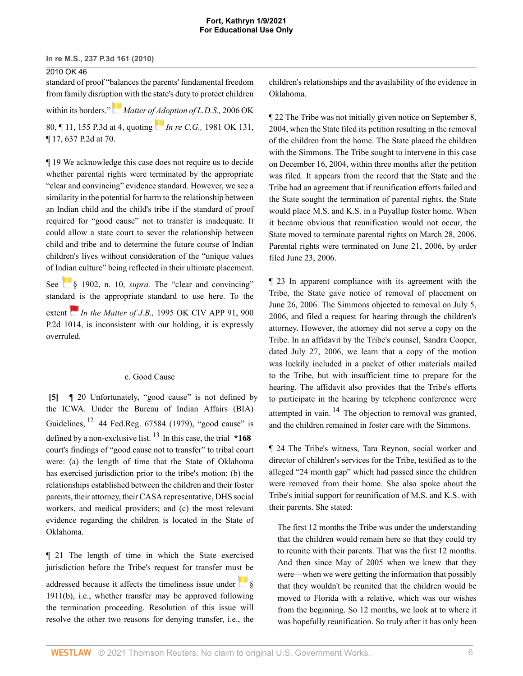# 2010 OK 46

standard of proof "balances the parents' fundamental freedom from family disrup[tion](https://1.next.westlaw.com/Link/RelatedInformation/Flag?documentGuid=If1e114bf631311db8af7b21dc878c125&transitionType=InlineKeyCiteFlags&originationContext=docHeaderFlag&Rank=0&contextData=(sc.DocLink) ) with the state's duty to protect children within its borders." *[Matter of Adoption of L.D.S.,](http://www.westlaw.com/Link/Document/FullText?findType=Y&serNum=2010505594&pubNum=4645&originatingDoc=Ib90709ba78c911df9513e5d1d488c847&refType=RP&fi=co_pp_sp_4645_4&originationContext=document&vr=3.0&rs=cblt1.0&transitionType=DocumentItem&contextData=(sc.DocLink)#co_pp_sp_4645_4)* 2006 OK [80, ¶ 11, 155 P.3d at 4,](http://www.westlaw.com/Link/Document/FullText?findType=Y&serNum=2010505594&pubNum=4645&originatingDoc=Ib90709ba78c911df9513e5d1d488c847&refType=RP&fi=co_pp_sp_4645_4&originationContext=document&vr=3.0&rs=cblt1.0&transitionType=DocumentItem&contextData=(sc.DocLink)#co_pp_sp_4645_4) quoting *In re C.G.,* [1981 OK 131,](http://www.westlaw.com/Link/Document/FullText?findType=Y&serNum=1981147531&pubNum=0000661&originatingDoc=Ib90709ba78c911df9513e5d1d488c847&refType=RP&fi=co_pp_sp_661_70&originationContext=document&vr=3.0&rs=cblt1.0&transitionType=DocumentItem&contextData=(sc.DocLink)#co_pp_sp_661_70)

[¶ 17, 637 P.2d at 70.](http://www.westlaw.com/Link/Document/FullText?findType=Y&serNum=1981147531&pubNum=0000661&originatingDoc=Ib90709ba78c911df9513e5d1d488c847&refType=RP&fi=co_pp_sp_661_70&originationContext=document&vr=3.0&rs=cblt1.0&transitionType=DocumentItem&contextData=(sc.DocLink)#co_pp_sp_661_70)

¶ 19 We acknowledge this case does not require us to decide whether parental rights were terminated by the appropriate "clear and convincing" evidence standard. However, we see a similarity in the potential for harm to the relationship between an Indian child and the child's tribe if the standard of proof required for "good cause" not to transfer is inadequate. It could allow a state court to sever the relationship between child and tribe and to determine the future course of Indian children's lives without consideration of the "unique values of Indian culture" being reflected in their ultimate placement.

See [§ 1902](http://www.westlaw.com/Link/Document/FullText?findType=L&pubNum=1000546&cite=25USCAS1902&originatingDoc=Ib90709ba78c911df9513e5d1d488c847&refType=LQ&originationContext=document&vr=3.0&rs=cblt1.0&transitionType=DocumentItem&contextData=(sc.DocLink)), n. 10, *supra*. The "clear and convincing" standa[rd i](https://1.next.westlaw.com/Link/RelatedInformation/Flag?documentGuid=Ie53829b4f58c11d983e7e9deff98dc6f&transitionType=InlineKeyCiteFlags&originationContext=docHeaderFlag&Rank=0&contextData=(sc.DocLink) )s the appropriate standard to use here. To the extent *In the Matter of J.B.*, [1995 OK CIV APP 91, 900](http://www.westlaw.com/Link/Document/FullText?findType=Y&serNum=1995160588&pubNum=661&originatingDoc=Ib90709ba78c911df9513e5d1d488c847&refType=RP&originationContext=document&vr=3.0&rs=cblt1.0&transitionType=DocumentItem&contextData=(sc.DocLink)) [P.2d 1014,](http://www.westlaw.com/Link/Document/FullText?findType=Y&serNum=1995160588&pubNum=661&originatingDoc=Ib90709ba78c911df9513e5d1d488c847&refType=RP&originationContext=document&vr=3.0&rs=cblt1.0&transitionType=DocumentItem&contextData=(sc.DocLink)) is inconsistent with our holding, it is expressly overruled.

#### <span id="page-5-1"></span>c. Good Cause

<span id="page-5-0"></span>**[\[5\]](#page-1-0)** ¶ 20 Unfortunately, "good cause" is not defined by the ICWA. Under the Bureau of [Indian Affairs \(BIA\)](http://www.westlaw.com/Link/Document/FullText?findType=l&pubNum=0184735&cite=UUID(ICD918E004B3111DA943A000BDBC9A81C)&originatingDoc=Ib90709ba78c911df9513e5d1d488c847&refType=CP&originationContext=document&vr=3.0&rs=cblt1.0&transitionType=DocumentItem&contextData=(sc.DocLink)) Guidelines,  $12$  [44 Fed.Reg. 67584 \(1979\),](http://www.westlaw.com/Link/Document/FullText?findType=l&pubNum=0184735&cite=UUID(ICD918E004B3111DA943A000BDBC9A81C)&originatingDoc=Ib90709ba78c911df9513e5d1d488c847&refType=CP&originationContext=document&vr=3.0&rs=cblt1.0&transitionType=DocumentItem&contextData=(sc.DocLink)) "good cause" is defined by a non-exclusive list. [13](#page-11-0) In this case, the trial **\*168** court's findings of "good cause not to transfer" to tribal court were: (a) the length of time that the State of Oklahoma has exercised jurisdiction prior to the tribe's motion; (b) the relationships established between the children and their foster parents, their attorney, their CASA representative, DHS social workers, and medical providers; and (c) the most relevant evidence regarding the children is located in the State of Oklahoma.

¶ 21 The length of time in which the State exercised jurisdiction before the Tribe's request for transfer must be addressed because it affects the timeliness issue under  $\begin{array}{c} \circ \\ \circ \end{array}$ [1911\(b\)](http://www.westlaw.com/Link/Document/FullText?findType=L&pubNum=1000546&cite=25USCAS1911&originatingDoc=Ib90709ba78c911df9513e5d1d488c847&refType=RB&originationContext=document&vr=3.0&rs=cblt1.0&transitionType=DocumentItem&contextData=(sc.DocLink)#co_pp_a83b000018c76), i.e., whether transfer may be approved following the termination proceeding. Resolution of this issue will resolve the other two reasons for denying transfer, i.e., the children's relationships and the availability of the evidence in Oklahoma.

¶ 22 The Tribe was not initially given notice on September 8, 2004, when the State filed its petition resulting in the removal of the children from the home. The State placed the children with the Simmons. The Tribe sought to intervene in this case on December 16, 2004, within three months after the petition was filed. It appears from the record that the State and the Tribe had an agreement that if reunification efforts failed and the State sought the termination of parental rights, the State would place M.S. and K.S. in a Puyallup foster home. When it became obvious that reunification would not occur, the State moved to terminate parental rights on March 28, 2006. Parental rights were terminated on June 21, 2006, by order filed June 23, 2006.

¶ 23 In apparent compliance with its agreement with the Tribe, the State gave notice of removal of placement on June 26, 2006. The Simmons objected to removal on July 5, 2006, and filed a request for hearing through the children's attorney. However, the attorney did not serve a copy on the Tribe. In an affidavit by the Tribe's counsel, Sandra Cooper, dated July 27, 2006, we learn that a copy of the motion was luckily included in a packet of other materials mailed to the Tribe, but with insufficient time to prepare for the hearing. The affidavit also provides that the Tribe's efforts to participate in the hearing by telephone conference were attempted in vain.  $^{14}$  $^{14}$  $^{14}$  The objection to removal was granted, and the children remained in foster care with the Simmons.

<span id="page-5-2"></span>¶ 24 The Tribe's witness, Tara Reynon, social worker and director of children's services for the Tribe, testified as to the alleged "24 month gap" which had passed since the children were removed from their home. She also spoke about the Tribe's initial support for reunification of M.S. and K.S. with their parents. She stated:

The first 12 months the Tribe was under the understanding that the children would remain here so that they could try to reunite with their parents. That was the first 12 months. And then since May of 2005 when we knew that they were—when we were getting the information that possibly that they wouldn't be reunited that the children would be moved to Florida with a relative, which was our wishes from the beginning. So 12 months, we look at to where it was hopefully reunification. So truly after it has only been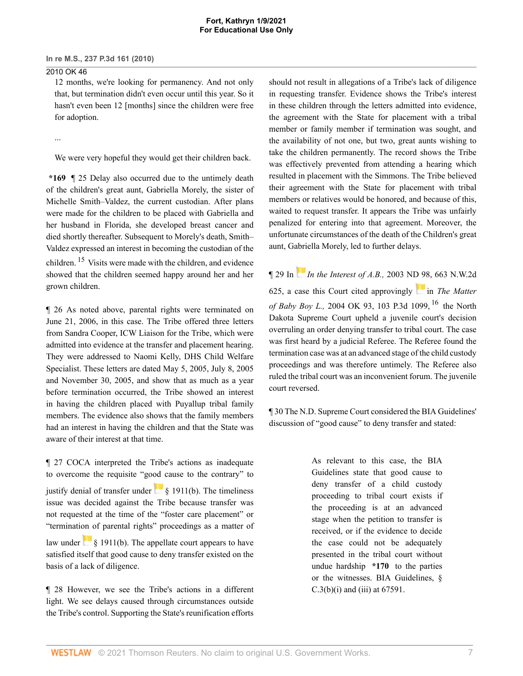### 2010 OK 46

12 months, we're looking for permanency. And not only that, but termination didn't even occur until this year. So it hasn't even been 12 [months] since the children were free for adoption.

...

We were very hopeful they would get their children back.

**\*169** ¶ 25 Delay also occurred due to the untimely death of the children's great aunt, Gabriella Morely, the sister of Michelle Smith–Valdez, the current custodian. After plans were made for the children to be placed with Gabriella and her husband in Florida, she developed [breast cancer](http://www.westlaw.com/Link/Document/FullText?entityType=disease&entityId=Ib73a5554475411db9765f9243f53508a&originationContext=document&transitionType=DocumentItem&contextData=(sc.Default)&vr=3.0&rs=cblt1.0) and died shortly thereafter. Subsequent to Morely's death, Smith– Valdez expressed an interest in becoming the custodian of the children. [15](#page-11-2) Visits were made with the children, and evidence showed that the children seemed happy around her and her grown children.

<span id="page-6-0"></span>¶ 26 As noted above, parental rights were terminated on June 21, 2006, in this case. The Tribe offered three letters from Sandra Cooper, ICW Liaison for the Tribe, which were admitted into evidence at the transfer and placement hearing. They were addressed to Naomi Kelly, DHS Child Welfare Specialist. These letters are dated May 5, 2005, July 8, 2005 and November 30, 2005, and show that as much as a year before termination occurred, the Tribe showed an interest in having the children placed with Puyallup tribal family members. The evidence also shows that the family members had an interest in having the children and that the State was aware of their interest at that time.

¶ 27 COCA interpreted the Tribe's actions as inadequate to overcome the requisite "good cause to the contrary" to justify denial of transfer under  $\frac{1}{8}$  1911(b). The timeliness issue was decided against the Tribe because transfer was not requested at the time of the "foster care placement" or "termination of parental rights" proceedings as a matter of law under  $\frac{1}{8}$  1911(b). The appellate court appears to have satisfied itself that good cause to deny transfer existed on the basis of a lack of diligence.

¶ 28 However, we see the Tribe's actions in a different light. We see delays caused through circumstances outside the Tribe's control. Supporting the State's reunification efforts should not result in allegations of a Tribe's lack of diligence in requesting transfer. Evidence shows the Tribe's interest in these children through the letters admitted into evidence, the agreement with the State for placement with a tribal member or family member if termination was sought, and the availability of not one, but two, great aunts wishing to take the children permanently. The record shows the Tribe was effectively prevented from attending a hearing which resulted in placement with the Simmons. The Tribe believed their agreement with the State for placement with tribal members or relatives would be honored, and because of this, waited to request transfer. It appears the Tribe was unfairly penalized for entering into that agreement. Moreover, the unfortunate circumstances of the death of the Children's great aunt, Gabriella Morely, led to further delays.

<span id="page-6-1"></span>¶ 29 In *[I](https://1.next.westlaw.com/Link/RelatedInformation/Flag?documentGuid=Ib5904450ff6911d98ac8f235252e36df&transitionType=InlineKeyCiteFlags&originationContext=docHeaderFlag&Rank=0&contextData=(sc.DocLink) )n the Interest of A.B.,* [2003 ND 98, 663 N.W.2d](http://www.westlaw.com/Link/Document/FullText?findType=Y&serNum=2003430339&pubNum=595&originatingDoc=Ib90709ba78c911df9513e5d1d488c847&refType=RP&originationContext=document&vr=3.0&rs=cblt1.0&transitionType=DocumentItem&contextData=(sc.DocLink)) [625,](http://www.westlaw.com/Link/Document/FullText?findType=Y&serNum=2003430339&pubNum=595&originatingDoc=Ib90709ba78c911df9513e5d1d488c847&refType=RP&originationContext=document&vr=3.0&rs=cblt1.0&transitionType=DocumentItem&contextData=(sc.DocLink)) a case th[i](https://1.next.westlaw.com/Link/RelatedInformation/Flag?documentGuid=I589b6e8ef78611d9bf60c1d57ebc853e&transitionType=InlineKeyCiteFlags&originationContext=docHeaderFlag&Rank=0&contextData=(sc.DocLink) )s Court cited approvingly in *[The Matter](http://www.westlaw.com/Link/Document/FullText?findType=Y&serNum=2005701567&pubNum=0004645&originatingDoc=Ib90709ba78c911df9513e5d1d488c847&refType=RP&originationContext=document&vr=3.0&rs=cblt1.0&transitionType=DocumentItem&contextData=(sc.DocLink)) of Baby Boy L.,* [2004 OK 93, 103 P.3d 1099](http://www.westlaw.com/Link/Document/FullText?findType=Y&serNum=2005701567&pubNum=0004645&originatingDoc=Ib90709ba78c911df9513e5d1d488c847&refType=RP&originationContext=document&vr=3.0&rs=cblt1.0&transitionType=DocumentItem&contextData=(sc.DocLink)), [16](#page-11-3) the North Dakota Supreme Court upheld a juvenile court's decision overruling an order denying transfer to tribal court. The case was first heard by a judicial Referee. The Referee found the termination case was at an advanced stage of the child custody proceedings and was therefore untimely. The Referee also ruled the tribal court was an inconvenient forum. The juvenile court reversed.

¶ 30 The N.D. Supreme Court considered the BIA Guidelines' discussion of "good cause" to deny transfer and stated:

> As relevant to this case, the BIA Guidelines state that good cause to deny transfer of a child custody proceeding to tribal court exists if the proceeding is at an advanced stage when the petition to transfer is received, or if the evidence to decide the case could not be adequately presented in the tribal court without undue hardship **\*170** to the parties or the witnesses. BIA Guidelines, §  $C.3(b)(i)$  and (iii) at 67591.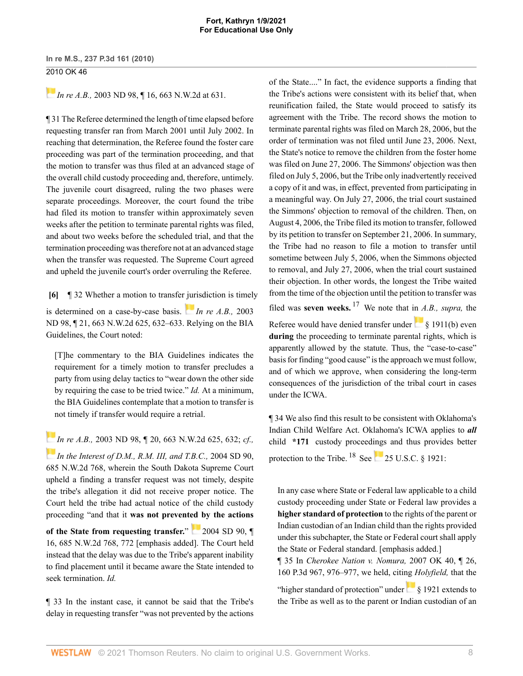*[I](https://1.next.westlaw.com/Link/RelatedInformation/Flag?documentGuid=Ib5904450ff6911d98ac8f235252e36df&transitionType=InlineKeyCiteFlags&originationContext=docHeaderFlag&Rank=0&contextData=(sc.DocLink) )***n** re A.B., 2003 ND 98, 16, 663 N.W.2d at 631.

¶ 31 The Referee determined the length of time elapsed before requesting transfer ran from March 2001 until July 2002. In reaching that determination, the Referee found the foster care proceeding was part of the termination proceeding, and that the motion to transfer was thus filed at an advanced stage of the overall child custody proceeding and, therefore, untimely. The juvenile court disagreed, ruling the two phases were separate proceedings. Moreover, the court found the tribe had filed its motion to transfer within approximately seven weeks after the petition to terminate parental rights was filed, and about two weeks before the scheduled trial, and that the termination proceeding was therefore not at an advanced stage when the transfer was requested. The Supreme Court agreed and upheld the juvenile court's order overruling the Referee.

<span id="page-7-0"></span>**[\[6\]](#page-1-1)** ¶ 32 Whether a motion to transfer [jur](https://1.next.westlaw.com/Link/RelatedInformation/Flag?documentGuid=Ib5904450ff6911d98ac8f235252e36df&transitionType=InlineKeyCiteFlags&originationContext=docHeaderFlag&Rank=0&contextData=(sc.DocLink) )isdiction is timely is determined on a case-by-case basis. *[In re A.B.,](http://www.westlaw.com/Link/Document/FullText?findType=Y&serNum=2003430339&pubNum=595&originatingDoc=Ib90709ba78c911df9513e5d1d488c847&refType=RP&fi=co_pp_sp_595_632&originationContext=document&vr=3.0&rs=cblt1.0&transitionType=DocumentItem&contextData=(sc.DocLink)#co_pp_sp_595_632)* 2003 [ND 98, ¶ 21, 663 N.W.2d 625, 632–633.](http://www.westlaw.com/Link/Document/FullText?findType=Y&serNum=2003430339&pubNum=595&originatingDoc=Ib90709ba78c911df9513e5d1d488c847&refType=RP&fi=co_pp_sp_595_632&originationContext=document&vr=3.0&rs=cblt1.0&transitionType=DocumentItem&contextData=(sc.DocLink)#co_pp_sp_595_632) Relying on the BIA Guidelines, the Court noted:

[T]he commentary to the BIA Guidelines indicates the requirement for a timely motion to transfer precludes a party from using delay tactics to "wear down the other side by requiring the case to be tried twice." *Id.* At a minimum, the BIA Guidelines contemplate that a motion to transfer is not timely if transfer would require a retrial.

*[I](https://1.next.westlaw.com/Link/RelatedInformation/Flag?documentGuid=Ib5904450ff6911d98ac8f235252e36df&transitionType=InlineKeyCiteFlags&originationContext=docHeaderFlag&Rank=0&contextData=(sc.DocLink) )n re A.B.,* [2003 ND 98, ¶ 20, 663 N.W.2d 625, 632;](http://www.westlaw.com/Link/Document/FullText?findType=Y&serNum=2003430339&pubNum=595&originatingDoc=Ib90709ba78c911df9513e5d1d488c847&refType=RP&fi=co_pp_sp_595_632&originationContext=document&vr=3.0&rs=cblt1.0&transitionType=DocumentItem&contextData=(sc.DocLink)#co_pp_sp_595_632) *cf., [In the Interest of D.M., R.M. III, and T.B.C.,](http://www.westlaw.com/Link/Document/FullText?findType=Y&serNum=2004779738&pubNum=595&originatingDoc=Ib90709ba78c911df9513e5d1d488c847&refType=RP&originationContext=document&vr=3.0&rs=cblt1.0&transitionType=DocumentItem&contextData=(sc.DocLink))* 2004 SD 90, [685 N.W.2d 768,](http://www.westlaw.com/Link/Document/FullText?findType=Y&serNum=2004779738&pubNum=595&originatingDoc=Ib90709ba78c911df9513e5d1d488c847&refType=RP&originationContext=document&vr=3.0&rs=cblt1.0&transitionType=DocumentItem&contextData=(sc.DocLink)) wherein the South Dakota Supreme Court upheld a finding a transfer request was not timely, despite the tribe's allegation it did not receive proper notice. The Court held the tribe had actual notice of the child custody proceeding "and that it **was not prevented by the actions**

**of the State from requesting transfer.**" [2004 SD 90, ¶](http://www.westlaw.com/Link/Document/FullText?findType=Y&serNum=2004779738&pubNum=0000595&originatingDoc=Ib90709ba78c911df9513e5d1d488c847&refType=RP&fi=co_pp_sp_595_772&originationContext=document&vr=3.0&rs=cblt1.0&transitionType=DocumentItem&contextData=(sc.DocLink)#co_pp_sp_595_772) [16, 685 N.W.2d 768, 772](http://www.westlaw.com/Link/Document/FullText?findType=Y&serNum=2004779738&pubNum=0000595&originatingDoc=Ib90709ba78c911df9513e5d1d488c847&refType=RP&fi=co_pp_sp_595_772&originationContext=document&vr=3.0&rs=cblt1.0&transitionType=DocumentItem&contextData=(sc.DocLink)#co_pp_sp_595_772) [emphasis added]. The Court held instead that the delay was due to the Tribe's apparent inability to find placement until it became aware the State intended to seek termination. *Id.*

¶ 33 In the instant case, it cannot be said that the Tribe's delay in requesting transfer "was not prevented by the actions of the State...." In fact, the evidence supports a finding that the Tribe's actions were consistent with its belief that, when reunification failed, the State would proceed to satisfy its agreement with the Tribe. The record shows the motion to terminate parental rights was filed on March 28, 2006, but the order of termination was not filed until June 23, 2006. Next, the State's notice to remove the children from the foster home was filed on June 27, 2006. The Simmons' objection was then filed on July 5, 2006, but the Tribe only inadvertently received a copy of it and was, in effect, prevented from participating in a meaningful way. On July 27, 2006, the trial court sustained the Simmons' objection to removal of the children. Then, on August 4, 2006, the Tribe filed its motion to transfer, followed by its petition to transfer on September 21, 2006. In summary, the Tribe had no reason to file a motion to transfer until sometime between July 5, 2006, when the Simmons objected to removal, and July 27, 2006, when the trial court sustained their objection. In other words, the longest the Tribe waited from the time of the objection until the petition to transfer was filed was **seven weeks.** [17](#page-11-4) We note that in *A.B., supra,* the Referee would have denied transfer under [§ 1911\(b\)](http://www.westlaw.com/Link/Document/FullText?findType=L&pubNum=1000546&cite=25USCAS1911&originatingDoc=Ib90709ba78c911df9513e5d1d488c847&refType=RB&originationContext=document&vr=3.0&rs=cblt1.0&transitionType=DocumentItem&contextData=(sc.DocLink)#co_pp_a83b000018c76) even **during** the proceeding to terminate parental rights, which is apparently allowed by the statute. Thus, the "case-to-case" basis for finding "good cause" is the approach we must follow, and of which we approve, when considering the long-term consequences of the jurisdiction of the tribal court in cases under the ICWA.

<span id="page-7-1"></span>¶ 34 We also find this result to be consistent with Oklahoma's Indian Child Welfare Act. Oklahoma's ICWA applies to *all* child **\*171** custody proceedings and thus provides better protection to the Tribe.  $^{18}$  $^{18}$  $^{18}$  See 25 U.S.C.  $\&$  1921:

<span id="page-7-2"></span>In any case where State or Federal law applicable to a child custody proceeding under State or Federal law provides a **higher standard of protection** to the rights of the parent or Indian custodian of an Indian child than the rights provided under this subchapter, the State or Federal court shall apply the State or Federal standard. [emphasis added.]

¶ 35 In *[Cherokee Nation v. Nomura,](http://www.westlaw.com/Link/Document/FullText?findType=Y&serNum=2012302421&pubNum=4645&originatingDoc=Ib90709ba78c911df9513e5d1d488c847&refType=RP&fi=co_pp_sp_4645_976&originationContext=document&vr=3.0&rs=cblt1.0&transitionType=DocumentItem&contextData=(sc.DocLink)#co_pp_sp_4645_976)* 2007 OK 40, ¶ 26, [160 P.3d 967, 976–977,](http://www.westlaw.com/Link/Document/FullText?findType=Y&serNum=2012302421&pubNum=4645&originatingDoc=Ib90709ba78c911df9513e5d1d488c847&refType=RP&fi=co_pp_sp_4645_976&originationContext=document&vr=3.0&rs=cblt1.0&transitionType=DocumentItem&contextData=(sc.DocLink)#co_pp_sp_4645_976) we held, citing *Holyfield,* that the

"higher standard of protection" under [§ 1921](http://www.westlaw.com/Link/Document/FullText?findType=L&pubNum=1000546&cite=25USCAS1921&originatingDoc=Ib90709ba78c911df9513e5d1d488c847&refType=LQ&originationContext=document&vr=3.0&rs=cblt1.0&transitionType=DocumentItem&contextData=(sc.DocLink)) extends to the Tribe as well as to the parent or Indian custodian of an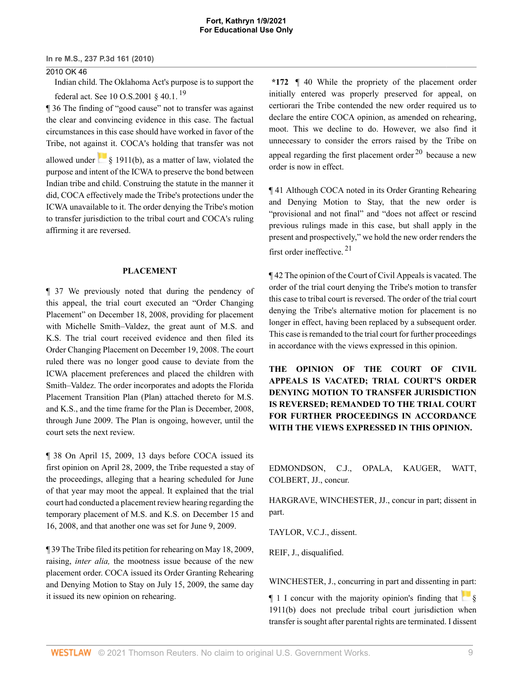#### 2010 OK 46

Indian child. The Oklahoma Act's purpose is to support the federal act. See 10 O.S.2001  $\S$  40.1.<sup>[19](#page-11-6)</sup>

¶ 36 The finding of "good cause" not to transfer was against the clear and convincing evidence in this case. The factual circumstances in this case should have worked in favor of the Tribe, not against it. COCA's holding that transfer was not

allowed under  $\frac{1}{8}$  1911(b), as a matter of law, violated the purpose and intent of the ICWA to preserve the bond between Indian tribe and child. Construing the statute in the manner it did, COCA effectively made the Tribe's protections under the ICWA unavailable to it. The order denying the Tribe's motion to transfer jurisdiction to the tribal court and COCA's ruling affirming it are reversed.

#### **PLACEMENT**

¶ 37 We previously noted that during the pendency of this appeal, the trial court executed an "Order Changing Placement" on December 18, 2008, providing for placement with Michelle Smith–Valdez, the great aunt of M.S. and K.S. The trial court received evidence and then filed its Order Changing Placement on December 19, 2008. The court ruled there was no longer good cause to deviate from the ICWA placement preferences and placed the children with Smith–Valdez. The order incorporates and adopts the Florida Placement Transition Plan (Plan) attached thereto for M.S. and K.S., and the time frame for the Plan is December, 2008, through June 2009. The Plan is ongoing, however, until the court sets the next review.

¶ 38 On April 15, 2009, 13 days before COCA issued its first opinion on April 28, 2009, the Tribe requested a stay of the proceedings, alleging that a hearing scheduled for June of that year may moot the appeal. It explained that the trial court had conducted a placement review hearing regarding the temporary placement of M.S. and K.S. on December 15 and 16, 2008, and that another one was set for June 9, 2009.

¶ 39 The Tribe filed its petition for rehearing on May 18, 2009, raising, *inter alia,* the mootness issue because of the new placement order. COCA issued its Order Granting Rehearing and Denying Motion to Stay on July 15, 2009, the same day it issued its new opinion on rehearing.

<span id="page-8-0"></span>**\*172** ¶ 40 While the propriety of the placement order initially entered was properly preserved for appeal, on certiorari the Tribe contended the new order required us to declare the entire COCA opinion, as amended on rehearing, moot. This we decline to do. However, we also find it unnecessary to consider the errors raised by the Tribe on appeal regarding the first placement order  $20$  because a new order is now in effect.

<span id="page-8-1"></span>¶ 41 Although COCA noted in its Order Granting Rehearing and Denying Motion to Stay, that the new order is "provisional and not final" and "does not affect or rescind previous rulings made in this case, but shall apply in the present and prospectively," we hold the new order renders the first order ineffective. [21](#page-12-1)

<span id="page-8-2"></span>¶ 42 The opinion of the Court of Civil Appeals is vacated. The order of the trial court denying the Tribe's motion to transfer this case to tribal court is reversed. The order of the trial court denying the Tribe's alternative motion for placement is no longer in effect, having been replaced by a subsequent order. This case is remanded to the trial court for further proceedings in accordance with the views expressed in this opinion.

**THE OPINION OF THE COURT OF CIVIL APPEALS IS VACATED; TRIAL COURT'S ORDER DENYING MOTION TO TRANSFER JURISDICTION IS REVERSED; REMANDED TO THE TRIAL COURT FOR FURTHER PROCEEDINGS IN ACCORDANCE WITH THE VIEWS EXPRESSED IN THIS OPINION.**

[EDMONDSON,](http://www.westlaw.com/Link/Document/FullText?findType=h&pubNum=176284&cite=0176202101&originatingDoc=Ib90709ba78c911df9513e5d1d488c847&refType=RQ&originationContext=document&vr=3.0&rs=cblt1.0&transitionType=DocumentItem&contextData=(sc.DocLink)) C.J., [OPALA](http://www.westlaw.com/Link/Document/FullText?findType=h&pubNum=176284&cite=0235676801&originatingDoc=Ib90709ba78c911df9513e5d1d488c847&refType=RQ&originationContext=document&vr=3.0&rs=cblt1.0&transitionType=DocumentItem&contextData=(sc.DocLink)), [KAUGER,](http://www.westlaw.com/Link/Document/FullText?findType=h&pubNum=176284&cite=0241378201&originatingDoc=Ib90709ba78c911df9513e5d1d488c847&refType=RQ&originationContext=document&vr=3.0&rs=cblt1.0&transitionType=DocumentItem&contextData=(sc.DocLink)) [WATT,](http://www.westlaw.com/Link/Document/FullText?findType=h&pubNum=176284&cite=0176177301&originatingDoc=Ib90709ba78c911df9513e5d1d488c847&refType=RQ&originationContext=document&vr=3.0&rs=cblt1.0&transitionType=DocumentItem&contextData=(sc.DocLink)) [COLBERT,](http://www.westlaw.com/Link/Document/FullText?findType=h&pubNum=176284&cite=0280576601&originatingDoc=Ib90709ba78c911df9513e5d1d488c847&refType=RQ&originationContext=document&vr=3.0&rs=cblt1.0&transitionType=DocumentItem&contextData=(sc.DocLink)) JJ., concur.

[HARGRAVE](http://www.westlaw.com/Link/Document/FullText?findType=h&pubNum=176284&cite=0200866801&originatingDoc=Ib90709ba78c911df9513e5d1d488c847&refType=RQ&originationContext=document&vr=3.0&rs=cblt1.0&transitionType=DocumentItem&contextData=(sc.DocLink)), [WINCHESTER,](http://www.westlaw.com/Link/Document/FullText?findType=h&pubNum=176284&cite=0126784101&originatingDoc=Ib90709ba78c911df9513e5d1d488c847&refType=RQ&originationContext=document&vr=3.0&rs=cblt1.0&transitionType=DocumentItem&contextData=(sc.DocLink)) JJ., concur in part; dissent in part.

[TAYLOR,](http://www.westlaw.com/Link/Document/FullText?findType=h&pubNum=176284&cite=0169500901&originatingDoc=Ib90709ba78c911df9513e5d1d488c847&refType=RQ&originationContext=document&vr=3.0&rs=cblt1.0&transitionType=DocumentItem&contextData=(sc.DocLink)) V.C.J., dissent.

[REIF,](http://www.westlaw.com/Link/Document/FullText?findType=h&pubNum=176284&cite=0202198401&originatingDoc=Ib90709ba78c911df9513e5d1d488c847&refType=RQ&originationContext=document&vr=3.0&rs=cblt1.0&transitionType=DocumentItem&contextData=(sc.DocLink)) J., disqualified.

[WINCHESTER](http://www.westlaw.com/Link/Document/FullText?findType=h&pubNum=176284&cite=0126784101&originatingDoc=Ib90709ba78c911df9513e5d1d488c847&refType=RQ&originationContext=document&vr=3.0&rs=cblt1.0&transitionType=DocumentItem&contextData=(sc.DocLink)), J., concurring in part and dissenting in part:

 $\P$  1 I concur with the majority opinion's finding that  $\frac{1}{8}$ [1911\(b\)](http://www.westlaw.com/Link/Document/FullText?findType=L&pubNum=1000546&cite=25USCAS1911&originatingDoc=Ib90709ba78c911df9513e5d1d488c847&refType=RB&originationContext=document&vr=3.0&rs=cblt1.0&transitionType=DocumentItem&contextData=(sc.DocLink)#co_pp_a83b000018c76) does not preclude tribal court jurisdiction when transfer is sought after parental rights are terminated. I dissent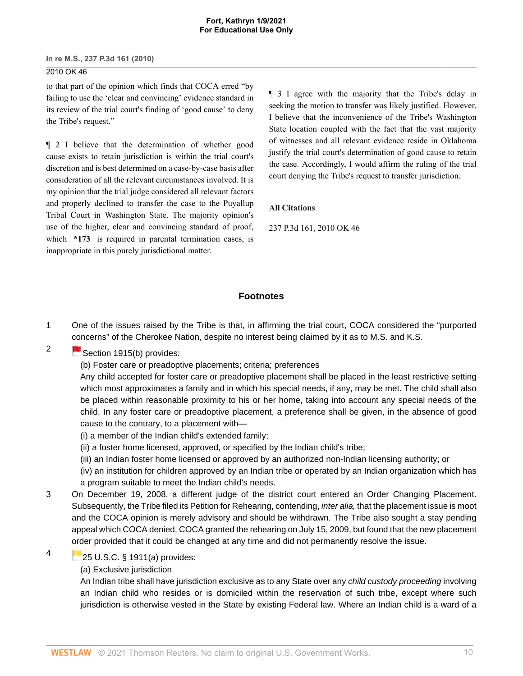# 2010 OK 46

to that part of the opinion which finds that COCA erred "by failing to use the 'clear and convincing' evidence standard in its review of the trial court's finding of 'good cause' to deny the Tribe's request."

¶ 2 I believe that the determination of whether good cause exists to retain jurisdiction is within the trial court's discretion and is best determined on a case-by-case basis after consideration of all the relevant circumstances involved. It is my opinion that the trial judge considered all relevant factors and properly declined to transfer the case to the Puyallup Tribal Court in Washington State. The majority opinion's use of the higher, clear and convincing standard of proof, which \*173 is required in parental termination cases, is inappropriate in this purely jurisdictional matter.

¶ 3 I agree with the majority that the Tribe's delay in seeking the motion to transfer was likely justified. However, I believe that the inconvenience of the Tribe's Washington State location coupled with the fact that the vast majority of witnesses and all relevant evidence reside in Oklahoma justify the trial court's determination of good cause to retain the case. Accordingly, I would affirm the ruling of the trial court denying the Tribe's request to transfer jurisdiction.

#### **All Citations**

237 P.3d 161, 2010 OK 46

## **Footnotes**

- <span id="page-9-0"></span>[1](#page-1-2) One of the issues raised by the Tribe is that, in affirming the trial court, COCA considered the "purported [con](https://1.next.westlaw.com/Link/RelatedInformation/Flag?documentGuid=NAF5594D0A53911D88BD68431AAB79FF6&transitionType=InlineKeyCiteFlags&originationContext=docHeaderFlag&Rank=0&contextData=(sc.DocLink) )cerns" of the Cherokee Nation, despite no interest being claimed by it as to M.S. and K.S.
	- [Section 1915\(b\)](http://www.westlaw.com/Link/Document/FullText?findType=L&pubNum=1000546&cite=25USCAS1915&originatingDoc=Ib90709ba78c911df9513e5d1d488c847&refType=RB&originationContext=document&vr=3.0&rs=cblt1.0&transitionType=DocumentItem&contextData=(sc.DocLink)#co_pp_a83b000018c76) provides:
		- (b) Foster care or preadoptive placements; criteria; preferences

Any child accepted for foster care or preadoptive placement shall be placed in the least restrictive setting which most approximates a family and in which his special needs, if any, may be met. The child shall also be placed within reasonable proximity to his or her home, taking into account any special needs of the child. In any foster care or preadoptive placement, a preference shall be given, in the absence of good cause to the contrary, to a placement with—

- (i) a member of the Indian child's extended family;
- (ii) a foster home licensed, approved, or specified by the Indian child's tribe;
- (iii) an Indian foster home licensed or approved by an authorized non-Indian licensing authority; or
- (iv) an institution for children approved by an Indian tribe or operated by an Indian organization which has a program suitable to meet the Indian child's needs.
- <span id="page-9-2"></span>[3](#page-2-1) On December 19, 2008, a different judge of the district court entered an Order Changing Placement. Subsequently, the Tribe filed its Petition for Rehearing, contending, inter alia, that the placement issue is moot and the COCA opinion is merely advisory and should be withdrawn. The Tribe also sought a stay pending appeal which COCA denied. COCA granted the rehearing on July 15, 2009, but found that the new placement [ord](https://1.next.westlaw.com/Link/RelatedInformation/Flag?documentGuid=NB212B900A53911D88BD68431AAB79FF6&transitionType=InlineKeyCiteFlags&originationContext=docHeaderFlag&Rank=0&contextData=(sc.DocLink) )er provided that it could be changed at any time and did not permanently resolve the issue.
- <span id="page-9-3"></span>[4](#page-2-2)

<span id="page-9-1"></span>[2](#page-2-0)

- [25 U.S.C. § 1911\(a\)](http://www.westlaw.com/Link/Document/FullText?findType=L&pubNum=1000546&cite=25USCAS1911&originatingDoc=Ib90709ba78c911df9513e5d1d488c847&refType=RB&originationContext=document&vr=3.0&rs=cblt1.0&transitionType=DocumentItem&contextData=(sc.DocLink)#co_pp_8b3b0000958a4) provides:
- (a) Exclusive jurisdiction

An Indian tribe shall have jurisdiction exclusive as to any State over any *child custody proceeding* involving an Indian child who resides or is domiciled within the reservation of such tribe, except where such jurisdiction is otherwise vested in the State by existing Federal law. Where an Indian child is a ward of a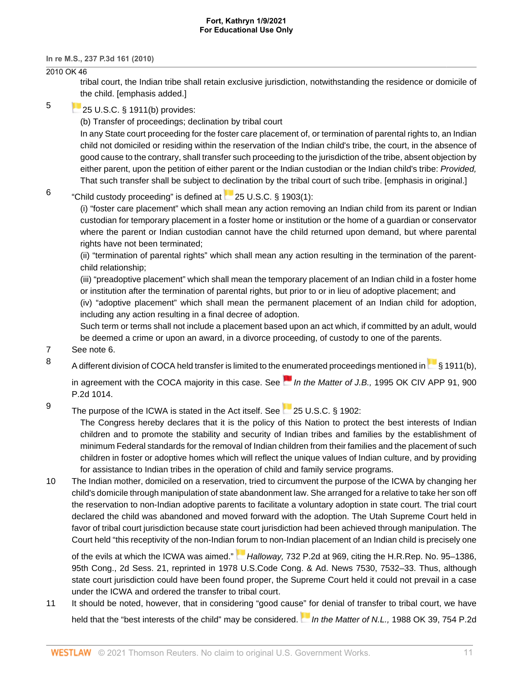## 2010 OK 46

tribal court, the Indian tribe shall retain exclusive jurisdiction, notwithstanding the residence or domicile of [th](https://1.next.westlaw.com/Link/RelatedInformation/Flag?documentGuid=NB212B900A53911D88BD68431AAB79FF6&transitionType=InlineKeyCiteFlags&originationContext=docHeaderFlag&Rank=0&contextData=(sc.DocLink) )e child. [emphasis added.]

### <span id="page-10-0"></span>[5](#page-2-3)

# **[25 U.S.C. § 1911\(b\)](http://www.westlaw.com/Link/Document/FullText?findType=L&pubNum=1000546&cite=25USCAS1911&originatingDoc=Ib90709ba78c911df9513e5d1d488c847&refType=RB&originationContext=document&vr=3.0&rs=cblt1.0&transitionType=DocumentItem&contextData=(sc.DocLink)#co_pp_a83b000018c76) provides:**

(b) Transfer of proceedings; declination by tribal court In any State court proceeding for the foster care placement of, or termination of parental rights to, an Indian child not domiciled or residing within the reservation of the Indian child's tribe, the court, in the absence of

good cause to the contrary, shall transfer such proceeding to the jurisdiction of the tribe, absent objection by either parent, upon the petition of either parent or the Indian custodian or the Indian child's tribe: Provided, That such transfer shall be subject to declination by the tribal court of such tribe. [emphasis in original.]

#### <span id="page-10-1"></span>[6](#page-3-0) "Childcustody proceeding" is defined at  $\sim$  [25 U.S.C. § 1903\(1\)](http://www.westlaw.com/Link/Document/FullText?findType=L&pubNum=1000546&cite=25USCAS1903&originatingDoc=Ib90709ba78c911df9513e5d1d488c847&refType=RB&originationContext=document&vr=3.0&rs=cblt1.0&transitionType=DocumentItem&contextData=(sc.DocLink)#co_pp_f1c50000821b0):

(i) "foster care placement" which shall mean any action removing an Indian child from its parent or Indian custodian for temporary placement in a foster home or institution or the home of a guardian or conservator where the parent or Indian custodian cannot have the child returned upon demand, but where parental rights have not been terminated;

(ii) "termination of parental rights" which shall mean any action resulting in the termination of the parentchild relationship;

(iii) "preadoptive placement" which shall mean the temporary placement of an Indian child in a foster home or institution after the termination of parental rights, but prior to or in lieu of adoptive placement; and

(iv) "adoptive placement" which shall mean the permanent placement of an Indian child for adoption, including any action resulting in a final decree of adoption.

Such term or terms shall not include a placement based upon an act which, if committed by an adult, would be deemed a crime or upon an award, in a divorce proceeding, of custody to one of the parents.

<span id="page-10-2"></span>[7](#page-3-1) See note 6.

<span id="page-10-3"></span>[8](#page-3-2)

A different division of COCA held transfer is limited to the [enu](https://1.next.westlaw.com/Link/RelatedInformation/Flag?documentGuid=Ie53829b4f58c11d983e7e9deff98dc6f&transitionType=InlineKeyCiteFlags&originationContext=docHeaderFlag&Rank=0&contextData=(sc.DocLink) )meratedproceedings mentioned in [§ 1911\(b\)](http://www.westlaw.com/Link/Document/FullText?findType=L&pubNum=1000546&cite=25USCAS1911&originatingDoc=Ib90709ba78c911df9513e5d1d488c847&refType=RB&originationContext=document&vr=3.0&rs=cblt1.0&transitionType=DocumentItem&contextData=(sc.DocLink)#co_pp_a83b000018c76),

in agreement with the COCA majority in this case. See  $\blacksquare$  In the Matter of J.B., [1995 OK CIV APP 91, 900](http://www.westlaw.com/Link/Document/FullText?findType=Y&serNum=1995160588&pubNum=661&originatingDoc=Ib90709ba78c911df9513e5d1d488c847&refType=RP&originationContext=document&vr=3.0&rs=cblt1.0&transitionType=DocumentItem&contextData=(sc.DocLink)) [P.2d 1014.](http://www.westlaw.com/Link/Document/FullText?findType=Y&serNum=1995160588&pubNum=661&originatingDoc=Ib90709ba78c911df9513e5d1d488c847&refType=RP&originationContext=document&vr=3.0&rs=cblt1.0&transitionType=DocumentItem&contextData=(sc.DocLink))

<span id="page-10-4"></span>[9](#page-3-3) The purpose of the ICWA is stated in the Act itself. See [25 U.S.C. § 1902](http://www.westlaw.com/Link/Document/FullText?findType=L&pubNum=1000546&cite=25USCAS1902&originatingDoc=Ib90709ba78c911df9513e5d1d488c847&refType=LQ&originationContext=document&vr=3.0&rs=cblt1.0&transitionType=DocumentItem&contextData=(sc.DocLink)):

> The Congress hereby declares that it is the policy of this Nation to protect the best interests of Indian children and to promote the stability and security of Indian tribes and families by the establishment of minimum Federal standards for the removal of Indian children from their families and the placement of such children in foster or adoptive homes which will reflect the unique values of Indian culture, and by providing for assistance to Indian tribes in the operation of child and family service programs.

<span id="page-10-5"></span>[10](#page-4-4) The Indian mother, domiciled on a reservation, tried to circumvent the purpose of the ICWA by changing her child's domicile through manipulation of state abandonment law. She arranged for a relative to take her son off the reservation to non-Indian adoptive parents to facilitate a voluntary adoption in state court. The trial court declared the child was abandoned and moved forward with the adoption. The Utah Supreme Court held in favor of tribal court jurisdiction because state court jurisdiction had been achieved through manipulation. The Court held "this receptivity of the non-Indian [foru](https://1.next.westlaw.com/Link/RelatedInformation/Flag?documentGuid=Iaa314130f46111d98ac8f235252e36df&transitionType=InlineKeyCiteFlags&originationContext=docHeaderFlag&Rank=0&contextData=(sc.DocLink) )m to non-Indian placement of an Indian child is precisely one

of the evils at which the ICWA was aimed."  $\blacksquare$  Halloway, [732 P.2d at 969,](http://www.westlaw.com/Link/Document/FullText?findType=Y&serNum=1987020702&pubNum=661&originatingDoc=Ib90709ba78c911df9513e5d1d488c847&refType=RP&fi=co_pp_sp_661_969&originationContext=document&vr=3.0&rs=cblt1.0&transitionType=DocumentItem&contextData=(sc.DocLink)#co_pp_sp_661_969) citing the [H.R.Rep. No. 95–1386](http://www.westlaw.com/Link/Document/FullText?findType=Y&serNum=0100368773&pubNum=0100014&originatingDoc=Ib90709ba78c911df9513e5d1d488c847&refType=TV&originationContext=document&vr=3.0&rs=cblt1.0&transitionType=DocumentItem&contextData=(sc.DocLink)), 95th Cong., 2d Sess. 21, reprinted in 1978 U.S.Code Cong. & Ad. News 7530, 7532–33. Thus, although state court jurisdiction could have been found proper, the Supreme Court held it could not prevail in a case under the ICWA and ordered the transfer to tribal court.

<span id="page-10-6"></span>[11](#page-4-5) It should be noted, however, that in considering "good caus[e" fo](https://1.next.westlaw.com/Link/RelatedInformation/Flag?documentGuid=I0621ac3ef46311d983e7e9deff98dc6f&transitionType=InlineKeyCiteFlags&originationContext=docHeaderFlag&Rank=0&contextData=(sc.DocLink) )r denial of transfer to tribal court, we have held that the "best interests of the child" may be considered. In the Matter of N.L., [1988 OK 39, 754 P.2d](http://www.westlaw.com/Link/Document/FullText?findType=Y&serNum=1988052285&pubNum=661&originatingDoc=Ib90709ba78c911df9513e5d1d488c847&refType=RP&fi=co_pp_sp_661_869&originationContext=document&vr=3.0&rs=cblt1.0&transitionType=DocumentItem&contextData=(sc.DocLink)#co_pp_sp_661_869)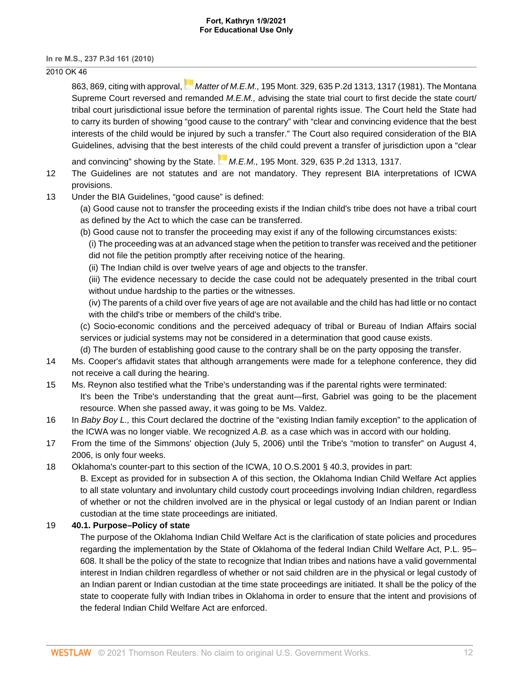#### **Fort, Kathryn 1/9/2021 For Educational Use Only**

**In re M.S., 237 P.3d 161 (2010)**

# 2010 OK 46

[863, 869,](http://www.westlaw.com/Link/Document/FullText?findType=Y&serNum=1988052285&pubNum=661&originatingDoc=Ib90709ba78c911df9513e5d1d488c847&refType=RP&fi=co_pp_sp_661_869&originationContext=document&vr=3.0&rs=cblt1.0&transitionType=DocumentItem&contextData=(sc.DocLink)#co_pp_sp_661_869)citing with approval, Matter of M.E.M., [195 Mont. 329, 635 P.2d 1313, 1317 \(1981\).](http://www.westlaw.com/Link/Document/FullText?findType=Y&serNum=1981147781&pubNum=0000661&originatingDoc=Ib90709ba78c911df9513e5d1d488c847&refType=RP&fi=co_pp_sp_661_1317&originationContext=document&vr=3.0&rs=cblt1.0&transitionType=DocumentItem&contextData=(sc.DocLink)#co_pp_sp_661_1317) The Montana Supreme Court reversed and remanded M.E.M., advising the state trial court to first decide the state court/ tribal court jurisdictional issue before the termination of parental rights issue. The Court held the State had to carry its burden of showing "good cause to the contrary" with "clear and convincing evidence that the best interests of the child would be injured by such a transfer." The Court also required consideration of the BIA Guidelines, advising that the best inter[est](https://1.next.westlaw.com/Link/RelatedInformation/Flag?documentGuid=Iaa3ade1ef46111d98ac8f235252e36df&transitionType=InlineKeyCiteFlags&originationContext=docHeaderFlag&Rank=0&contextData=(sc.DocLink) )s of the child could prevent a transfer of jurisdiction upon a "clear

and convincing" showing by the State.  $M.E.M., 195$  Mont. 329, 635 P.2d 1313, 1317.

- 12 The Guidelines are not statutes and are not mandatory. They represent BIA interpretations of ICWA provisions.
- <span id="page-11-0"></span>[13](#page-5-1) Under the BIA Guidelines, "good cause" is defined:
	- (a) Good cause not to transfer the proceeding exists if the Indian child's tribe does not have a tribal court as defined by the Act to which the case can be transferred.
	- (b) Good cause not to transfer the proceeding may exist if any of the following circumstances exists:
		- (i) The proceeding was at an advanced stage when the petition to transfer was received and the petitioner did not file the petition promptly after receiving notice of the hearing.
		- (ii) The Indian child is over twelve years of age and objects to the transfer.

(iii) The evidence necessary to decide the case could not be adequately presented in the tribal court without undue hardship to the parties or the witnesses.

(iv) The parents of a child over five years of age are not available and the child has had little or no contact with the child's tribe or members of the child's tribe.

(c) Socio-economic conditions and the perceived adequacy of tribal or Bureau of Indian Affairs social services or judicial systems may not be considered in a determination that good cause exists.

(d) The burden of establishing good cause to the contrary shall be on the party opposing the transfer.

- <span id="page-11-1"></span>[14](#page-5-2) Ms. Cooper's affidavit states that although arrangements were made for a telephone conference, they did not receive a call during the hearing.
- <span id="page-11-2"></span>[15](#page-6-0) Ms. Reynon also testified what the Tribe's understanding was if the parental rights were terminated: It's been the Tribe's understanding that the great aunt—first, Gabriel was going to be the placement resource. When she passed away, it was going to be Ms. Valdez.
- <span id="page-11-3"></span>[16](#page-6-1) In Baby Boy L., this Court declared the doctrine of the "existing Indian family exception" to the application of the ICWA was no longer viable. We recognized A.B. as a case which was in accord with our holding.
- <span id="page-11-4"></span>[17](#page-7-1) From the time of the Simmons' objection (July 5, 2006) until the Tribe's "motion to transfer" on August 4, 2006, is only four weeks.

<span id="page-11-5"></span>[18](#page-7-2) Oklahoma's counter-part to this section of the ICWA, [10 O.S.2001 § 40.3](http://www.westlaw.com/Link/Document/FullText?findType=L&pubNum=1000165&cite=OKSTT10S40.3&originatingDoc=Ib90709ba78c911df9513e5d1d488c847&refType=LQ&originationContext=document&vr=3.0&rs=cblt1.0&transitionType=DocumentItem&contextData=(sc.DocLink)), provides in part:

B. Except as provided for in subsection A of this section, the Oklahoma Indian Child Welfare Act applies to all state voluntary and involuntary child custody court proceedings involving Indian children, regardless of whether or not the children involved are in the physical or legal custody of an Indian parent or Indian custodian at the time state proceedings are initiated.

## <span id="page-11-6"></span>[19](#page-8-0) **40.1. Purpose–Policy of state**

The purpose of the Oklahoma Indian Child Welfare Act is the clarification of state policies and procedures regarding the implementation by the State of Oklahoma of the federal Indian Child Welfare Act, [P.L. 95–](http://www.westlaw.com/Link/Document/FullText?findType=l&pubNum=1077005&cite=UUID(I9819B45CC5-864920B0079-24EB3F5CDE9)&originatingDoc=Ib90709ba78c911df9513e5d1d488c847&refType=SL&originationContext=document&vr=3.0&rs=cblt1.0&transitionType=DocumentItem&contextData=(sc.DocLink)) [608.](http://www.westlaw.com/Link/Document/FullText?findType=l&pubNum=1077005&cite=UUID(I9819B45CC5-864920B0079-24EB3F5CDE9)&originatingDoc=Ib90709ba78c911df9513e5d1d488c847&refType=SL&originationContext=document&vr=3.0&rs=cblt1.0&transitionType=DocumentItem&contextData=(sc.DocLink)) It shall be the policy of the state to recognize that Indian tribes and nations have a valid governmental interest in Indian children regardless of whether or not said children are in the physical or legal custody of an Indian parent or Indian custodian at the time state proceedings are initiated. It shall be the policy of the state to cooperate fully with Indian tribes in Oklahoma in order to ensure that the intent and provisions of the federal Indian Child Welfare Act are enforced.